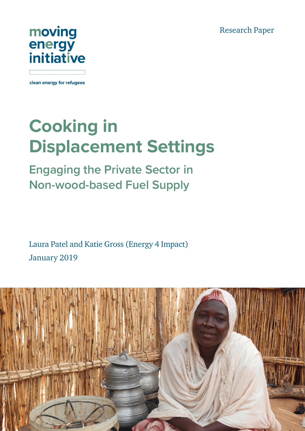Research Paper



clean energy for refugees

# **Cooking in Displacement Settings**

**Engaging the Private Sector in Non-wood-based Fuel Supply**

Laura Patel and Katie Gross (Energy 4 Impact) January 2019

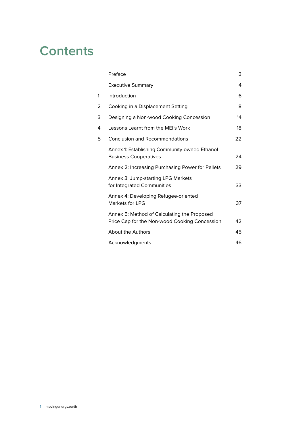### **Contents**

|   | Preface                                                                                      | 3  |
|---|----------------------------------------------------------------------------------------------|----|
|   | <b>Executive Summary</b>                                                                     | 4  |
| 1 | Introduction                                                                                 | 6  |
| 2 | Cooking in a Displacement Setting                                                            | 8  |
| 3 | Designing a Non-wood Cooking Concession                                                      | 14 |
| 4 | Lessons Learnt from the MEI's Work                                                           | 18 |
| 5 | <b>Conclusion and Recommendations</b>                                                        | 22 |
|   | Annex 1: Establishing Community-owned Ethanol<br><b>Business Cooperatives</b>                | 24 |
|   | Annex 2: Increasing Purchasing Power for Pellets                                             | 29 |
|   | Annex 3: Jump-starting LPG Markets<br>for Integrated Communities                             | 33 |
|   | Annex 4: Developing Refugee-oriented<br>Markets for LPG                                      | 37 |
|   | Annex 5: Method of Calculating the Proposed<br>Price Cap for the Non-wood Cooking Concession | 42 |
|   | <b>About the Authors</b>                                                                     | 45 |
|   | Acknowledgments                                                                              | 46 |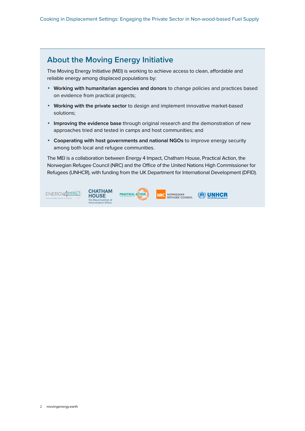### **About the Moving Energy Initiative**

The Moving Energy Initiative (MEI) is working to achieve access to clean, affordable and reliable energy among displaced populations by:

- **• Working with humanitarian agencies and donors** to change policies and practices based on evidence from practical projects;
- **• Working with the private sector** to design and implement innovative market-based solutions;
- **• Improving the evidence base** through original research and the demonstration of new approaches tried and tested in camps and host communities; and
- **• Cooperating with host governments and national NGOs** to improve energy security among both local and refugee communities.

The MEI is a collaboration between Energy 4 Impact, Chatham House, Practical Action, the Norwegian Refugee Council (NRC) and the Office of the United Nations High Commissioner for Refugees (UNHCR), with funding from the UK Department for International Development (DFID).

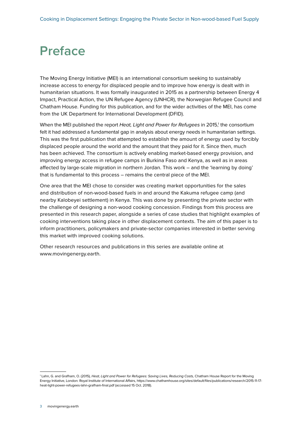### <span id="page-3-0"></span>**Preface**

The Moving Energy Initiative (MEI) is an international consortium seeking to sustainably increase access to energy for displaced people and to improve how energy is dealt with in humanitarian situations. It was formally inaugurated in 2015 as a partnership between Energy 4 Impact, Practical Action, the UN Refugee Agency (UNHCR), the Norwegian Refugee Council and Chatham House. Funding for this publication, and for the wider activities of the MEI, has come from the UK Department for International Development (DFID).

When the MEI published the report Heat, Light and Power for Refugees in 2015,<sup>1</sup> the consortium felt it had addressed a fundamental gap in analysis about energy needs in humanitarian settings. This was the first publication that attempted to establish the amount of energy used by forcibly displaced people around the world and the amount that they paid for it. Since then, much has been achieved. The consortium is actively enabling market-based energy provision, and improving energy access in refugee camps in Burkina Faso and Kenya, as well as in areas affected by large-scale migration in northern Jordan. This work – and the 'learning by doing' that is fundamental to this process – remains the central piece of the MEI.

One area that the MEI chose to consider was creating market opportunities for the sales and distribution of non-wood-based fuels in and around the Kakuma refugee camp (and nearby Kalobeyei settlement) in Kenya. This was done by presenting the private sector with the challenge of designing a non-wood cooking concession. Findings from this process are presented in this research paper, alongside a series of case studies that highlight examples of cooking interventions taking place in other displacement contexts. The aim of this paper is to inform practitioners, policymakers and private-sector companies interested in better serving this market with improved cooking solutions.

Other research resources and publications in this series are available online at www.movingenergy.earth.

<sup>&</sup>lt;sup>1</sup> Lahn, G. and Grafham, O. (2015), Heat, Light and Power for Refugees: Saving Lives, Reducing Costs, Chatham House Report for the Moving Energy Initiative, London: Royal Institute of International Affairs, [https://www.chathamhouse.org/sites/default/files/publications/research/2015-11-17](https://www.chathamhouse.org/sites/default/files/publications/research/2015-11-17-heat-light-power-refugees-lahn-grafham-final.pdf) [heat-light-power-refugees-lahn-grafham-final.pdf](https://www.chathamhouse.org/sites/default/files/publications/research/2015-11-17-heat-light-power-refugees-lahn-grafham-final.pdf) (accessed 15 Oct. 2018).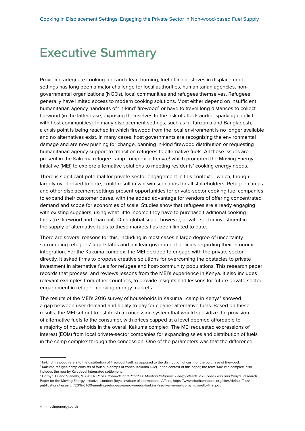### <span id="page-4-0"></span>**Executive Summary**

Providing adequate cooking fuel and clean-burning, fuel-efficient stoves in displacement settings has long been a major challenge for local authorities, humanitarian agencies, nongovernmental organizations (NGOs), local communities and refugees themselves. Refugees generally have limited access to modern cooking solutions. Most either depend on insufficient humanitarian agency handouts of 'in-kind' firewood<sup>2</sup> or have to travel long distances to collect firewood (in the latter case, exposing themselves to the risk of attack and/or sparking conflict with host communities). In many displacement settings, such as in Tanzania and Bangladesh, a crisis point is being reached in which firewood from the local environment is no longer available and no alternatives exist. In many cases, host governments are recognizing the environmental damage and are now pushing for change, banning in-kind firewood distribution or requesting humanitarian agency support to transition refugees to alternative fuels. All these issues are present in the Kakuma refugee camp complex in Kenya,<sup>3</sup> which prompted the Moving Energy Initiative (MEI) to explore alternative solutions to meeting residents' cooking energy needs.

There is significant potential for private-sector engagement in this context – which, though largely overlooked to date, could result in win-win scenarios for all stakeholders. Refugee camps and other displacement settings present opportunities for private-sector cooking fuel companies to expand their customer bases, with the added advantage for vendors of offering concentrated demand and scope for economies of scale. Studies show that refugees are already engaging with existing suppliers, using what little income they have to purchase traditional cooking fuels (i.e. firewood and charcoal). On a global scale, however, private-sector investment in the supply of alternative fuels to these markets has been limited to date.

There are several reasons for this, including in most cases a large degree of uncertainty surrounding refugees' legal status and unclear government policies regarding their economic integration. For the Kakuma complex, the MEI decided to engage with the private sector directly. It asked firms to propose creative solutions for overcoming the obstacles to private investment in alternative fuels for refugee and host-community populations. This research paper records that process, and reviews lessons from the MEI's experience in Kenya. It also includes relevant examples from other countries, to provide insights and lessons for future private-sector engagement in refugee cooking energy markets.

The results of the MEI's 2016 survey of households in Kakuma I camp in Kenya<sup>4</sup> showed a gap between user demand and ability to pay for cleaner alternative fuels. Based on these results, the MEI set out to establish a concession system that would subsidize the provision of alternative fuels to the consumer, with prices capped at a level deemed affordable to a majority of households in the overall Kakuma complex. The MEI requested expressions of interest (EOIs) from local private-sector companies for expanding sales and distribution of fuels in the camp complex through the concession. One of the parameters was that the difference

<sup>&</sup>lt;sup>2</sup> In-kind firewood refers to the distribution of firewood itself, as opposed to the distribution of cash for the purchase of firewood. 3 Kakuma refugee camp consists of four sub-camps or zones (Kakuma I–IV). In the context of this paper, the term 'Kakuma complex' also includes the nearby Kalobeyei integrated settlement.

<sup>4</sup> Corbyn, D. and Vianello, M. (2018), *Prices, Products and Priorities: Meeting Refugees' Energy Needs in Burkina Faso and Kenya*, Research Paper for the Moving Energy Initiative, London: Royal Institute of International Affairs, [https://www.chathamhouse.org/sites/default/files/](https://www.chathamhouse.org/sites/default/files/publications/research/2018-01-30-meeting-refugees-energy-needs-burkina-faso-kenya-mei-corbyn-vianello-final.pdf) [publications/research/2018-01-30-meeting-refugees-energy-needs-burkina-faso-kenya-mei-corbyn-vianello-final.pdf.](https://www.chathamhouse.org/sites/default/files/publications/research/2018-01-30-meeting-refugees-energy-needs-burkina-faso-kenya-mei-corbyn-vianello-final.pdf)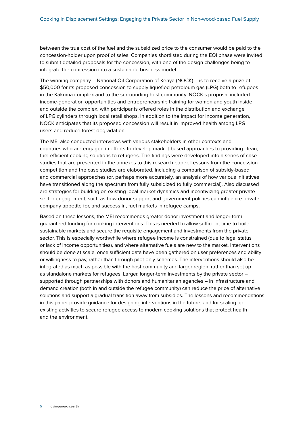between the true cost of the fuel and the subsidized price to the consumer would be paid to the concession-holder upon proof of sales. Companies shortlisted during the EOI phase were invited to submit detailed proposals for the concession, with one of the design challenges being to integrate the concession into a sustainable business model.

The winning company – National Oil Corporation of Kenya (NOCK) – is to receive a prize of \$50,000 for its proposed concession to supply liquefied petroleum gas (LPG) both to refugees in the Kakuma complex and to the surrounding host community. NOCK's proposal included income-generation opportunities and entrepreneurship training for women and youth inside and outside the complex, with participants offered roles in the distribution and exchange of LPG cylinders through local retail shops. In addition to the impact for income generation, NOCK anticipates that its proposed concession will result in improved health among LPG users and reduce forest degradation.

The MEI also conducted interviews with various stakeholders in other contexts and countries who are engaged in efforts to develop market-based approaches to providing clean, fuel-efficient cooking solutions to refugees. The findings were developed into a series of case studies that are presented in the annexes to this research paper. Lessons from the concession competition and the case studies are elaborated, including a comparison of subsidy-based and commercial approaches (or, perhaps more accurately, an analysis of how various initiatives have transitioned along the spectrum from fully subsidized to fully commercial). Also discussed are strategies for building on existing local market dynamics and incentivizing greater privatesector engagement, such as how donor support and government policies can influence private company appetite for, and success in, fuel markets in refugee camps.

Based on these lessons, the MEI recommends greater donor investment and longer-term guaranteed funding for cooking interventions. This is needed to allow sufficient time to build sustainable markets and secure the requisite engagement and investments from the private sector. This is especially worthwhile where refugee income is constrained (due to legal status or lack of income opportunities), and where alternative fuels are new to the market. Interventions should be done at scale, once sufficient data have been gathered on user preferences and ability or willingness to pay, rather than through pilot-only schemes. The interventions should also be integrated as much as possible with the host community and larger region, rather than set up as standalone markets for refugees. Larger, longer-term investments by the private sector – supported through partnerships with donors and humanitarian agencies – in infrastructure and demand creation (both in and outside the refugee community) can reduce the price of alternative solutions and support a gradual transition away from subsidies. The lessons and recommendations in this paper provide guidance for designing interventions in the future, and for scaling up existing activities to secure refugee access to modern cooking solutions that protect health and the environment.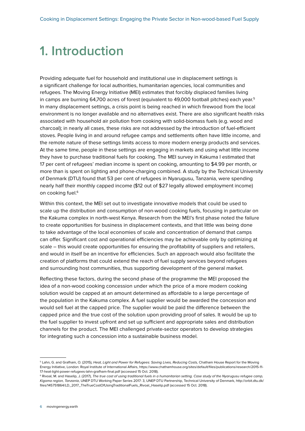### <span id="page-6-0"></span>**1. Introduction**

Providing adequate fuel for household and institutional use in displacement settings is a significant challenge for local authorities, humanitarian agencies, local communities and refugees. The Moving Energy Initiative (MEI) estimates that forcibly displaced families living in camps are burning 64,700 acres of forest (equivalent to 49,000 football pitches) each year.<sup>5</sup> In many displacement settings, a crisis point is being reached in which firewood from the local environment is no longer available and no alternatives exist. There are also significant health risks associated with household air pollution from cooking with solid-biomass fuels (e.g. wood and charcoal); in nearly all cases, these risks are not addressed by the introduction of fuel-efficient stoves. People living in and around refugee camps and settlements often have little income, and the remote nature of these settings limits access to more modern energy products and services. At the same time, people in these settings are engaging in markets and using what little income they have to purchase traditional fuels for cooking. The MEI survey in Kakuma I estimated that 17 per cent of refugees' median income is spent on cooking, amounting to \$4.99 per month, or more than is spent on lighting and phone-charging combined. A study by the Technical University of Denmark (DTU) found that 53 per cent of refugees in Nyarugusu, Tanzania, were spending nearly half their monthly capped income (\$12 out of \$27 legally allowed employment income) on cooking fuel.<sup>6</sup>

Within this context, the MEI set out to investigate innovative models that could be used to scale up the distribution and consumption of non-wood cooking fuels, focusing in particular on the Kakuma complex in north-west Kenya. Research from the MEI's first phase noted the failure to create opportunities for business in displacement contexts, and that little was being done to take advantage of the local economies of scale and concentration of demand that camps can offer. Significant cost and operational efficiencies may be achievable only by optimizing at scale – this would create opportunities for ensuring the profitability of suppliers and retailers, and would in itself be an incentive for efficiencies. Such an approach would also facilitate the creation of platforms that could extend the reach of fuel supply services beyond refugees and surrounding host communities, thus supporting development of the general market.

Reflecting these factors, during the second phase of the programme the MEI proposed the idea of a non-wood cooking concession under which the price of a more modern cooking solution would be capped at an amount determined as affordable to a large percentage of the population in the Kakuma complex. A fuel supplier would be awarded the concession and would sell fuel at the capped price. The supplier would be paid the difference between the capped price and the true cost of the solution upon providing proof of sales. It would be up to the fuel supplier to invest upfront and set up sufficient and appropriate sales and distribution channels for the product. The MEI challenged private-sector operators to develop strategies for integrating such a concession into a sustainable business model.

<sup>&</sup>lt;sup>5</sup> Lahn, G. and Grafham, O. (2015), Heat, Light and Power for Refugees: Saving Lives, Reducing Costs, Chatham House Report for the Moving Energy Initiative, London: Royal Institute of International Affairs, [https://www.chathamhouse.org/sites/default/files/publications/research/2015-11-](https://www.chathamhouse.org/sites/default/files/publications/research/2015-11-17-heat-light-power-refugees-lahn-grafham-final.pdf) [17-heat-light-power-refugees-lahn-grafham-final.pdf](https://www.chathamhouse.org/sites/default/files/publications/research/2015-11-17-heat-light-power-refugees-lahn-grafham-final.pdf) (accessed 15 Oct. 2018).

<sup>6</sup> Rivoal, M. and Haselip, J. (2017), *The true cost of using traditional fuels in a humanitarian setting. Case study of the Nyarugusu refugee camp, Kigoma region, Tanzania*, UNEP DTU Working Paper Series 2017: 3, UNEP DTU Partnership, Technical University of Denmark, [http://orbit.dtu.dk/](http://orbit.dtu.dk/files/145751864/LD_2017_TheTrueCostOfUsingTraditionalFuels_Rivoal_Haselip.pdf) [files/145751864/LD\\_2017\\_TheTrueCostOfUsingTraditionalFuels\\_Rivoal\\_Haselip.pdf](http://orbit.dtu.dk/files/145751864/LD_2017_TheTrueCostOfUsingTraditionalFuels_Rivoal_Haselip.pdf) (accessed 15 Oct. 2018).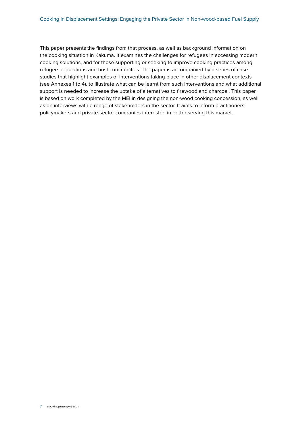This paper presents the findings from that process, as well as background information on the cooking situation in Kakuma. It examines the challenges for refugees in accessing modern cooking solutions, and for those supporting or seeking to improve cooking practices among refugee populations and host communities. The paper is accompanied by a series of case studies that highlight examples of interventions taking place in other displacement contexts (see Annexes 1 to 4), to illustrate what can be learnt from such interventions and what additional support is needed to increase the uptake of alternatives to firewood and charcoal. This paper is based on work completed by the MEI in designing the non-wood cooking concession, as well as on interviews with a range of stakeholders in the sector. It aims to inform practitioners, policymakers and private-sector companies interested in better serving this market.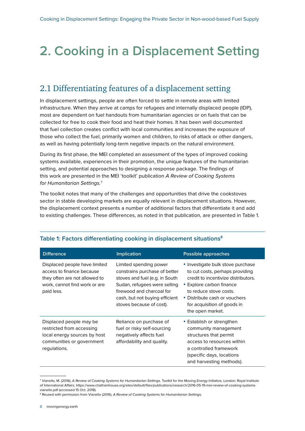## <span id="page-8-0"></span>**2. Cooking in a Displacement Setting**

### 2.1 Differentiating features of a displacement setting

In displacement settings, people are often forced to settle in remote areas with limited infrastructure. When they arrive at camps for refugees and internally displaced people (IDP), most are dependent on fuel handouts from humanitarian agencies or on fuels that can be collected for free to cook their food and heat their homes. It has been well documented that fuel collection creates conflict with local communities and increases the exposure of those who collect the fuel, primarily women and children, to risks of attack or other dangers, as well as having potentially long-term negative impacts on the natural environment.

During its first phase, the MEI completed an assessment of the types of improved cooking systems available, experiences in their promotion, the unique features of the humanitarian setting, and potential approaches to designing a response package. The findings of this work are presented in the MEI 'toolkit' publication *A Review of Cooking Systems for Humanitarian Settings.*<sup>7</sup>

The toolkit notes that many of the challenges and opportunities that drive the cookstoves sector in stable developing markets are equally relevant in displacement situations. However, the displacement context presents a number of additional factors that differentiate it and add to existing challenges. These differences, as noted in that publication, are presented in Table 1.

| <b>Difference</b>                                                                                                                          | <b>Implication</b>                                                                                                                                                                                                   | Possible approaches                                                                                                                                                                                                                                   |
|--------------------------------------------------------------------------------------------------------------------------------------------|----------------------------------------------------------------------------------------------------------------------------------------------------------------------------------------------------------------------|-------------------------------------------------------------------------------------------------------------------------------------------------------------------------------------------------------------------------------------------------------|
| Displaced people have limited<br>access to finance because<br>they often are not allowed to<br>work, cannot find work or are<br>paid less. | Limited spending power<br>constrains purchase of better<br>stoves and fuel (e.g. in South<br>Sudan, refugees were selling<br>firewood and charcoal for<br>cash, but not buying efficient<br>stoves because of cost). | • Investigate bulk stove purchase<br>to cut costs, perhaps providing<br>credit to incentivize distributors.<br>• Explore carbon finance<br>to reduce stove costs.<br>• Distribute cash or vouchers<br>for acquisition of goods in<br>the open market. |
| Displaced people may be<br>restricted from accessing<br>local energy sources by host<br>communities or government<br>regulations.          | Reliance on purchase of<br>fuel or risky self-sourcing<br>negatively affects fuel<br>affordability and quality.                                                                                                      | • Establish or strengthen<br>community management<br>structures that permit<br>access to resources within<br>a controlled framework<br>(specific days, locations<br>and harvesting methods).                                                          |

#### **Table 1: Factors differentiating cooking in displacement situations8**

<sup>7</sup> Vianello, M. (2016), *A Review of Cooking Systems for Humanitarian Settings,* Toolkit for the Moving Energy Initiative, London: Royal Institute of International Affairs, [https://www.chathamhouse.org/sites/default/files/publications/research/2016-05-19-mei-review-of-cooking-systems](https://www.chathamhouse.org/sites/default/files/publications/research/2016-05-19-mei-review-of-cooking-systems-vianello.pdf)[vianello.pdf](https://www.chathamhouse.org/sites/default/files/publications/research/2016-05-19-mei-review-of-cooking-systems-vianello.pdf) (accessed 15 Oct. 2018).

<sup>8</sup> Reused with permission from Vianello (2016), *A Review of Cooking Systems for Humanitarian Settings.*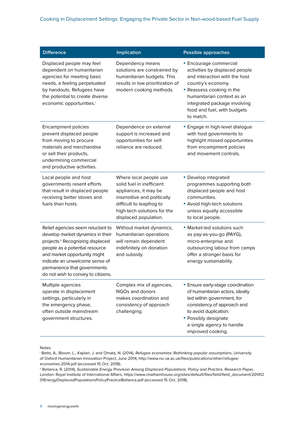| <b>Difference</b>                                                                                                                                                                                                                                                                  | <b>Implication</b>                                                                                                                                                                              | <b>Possible approaches</b>                                                                                                                                                                                                                             |
|------------------------------------------------------------------------------------------------------------------------------------------------------------------------------------------------------------------------------------------------------------------------------------|-------------------------------------------------------------------------------------------------------------------------------------------------------------------------------------------------|--------------------------------------------------------------------------------------------------------------------------------------------------------------------------------------------------------------------------------------------------------|
| Displaced people may feel<br>dependent on humanitarian<br>agencies for meeting basic<br>needs, a feeling perpetuated<br>by handouts. Refugees have<br>the potential to create diverse<br>economic opportunities. <sup>1</sup>                                                      | Dependency means<br>solutions are constrained by<br>humanitarian budgets. This<br>results in low prioritization of<br>modern cooking methods.                                                   | • Encourage commercial<br>activities by displaced people<br>and interaction with the host<br>country's economy.<br>• Reassess cooking in the<br>humanitarian context as an<br>integrated package involving<br>food and fuel, with budgets<br>to match. |
| <b>Encampment policies</b><br>prevent displaced people<br>from moving to procure<br>materials and merchandise<br>or sell their products,<br>undermining commercial<br>and productive activities.                                                                                   | Dependence on external<br>support is increased and<br>opportunities for self-<br>reliance are reduced.                                                                                          | • Engage in high-level dialogue<br>with host governments to<br>highlight missed opportunities<br>from encampment policies<br>and movement controls.                                                                                                    |
| Local people and host<br>governments resent efforts<br>that result in displaced people<br>receiving better stoves and<br>fuels than hosts.                                                                                                                                         | Where local people use<br>solid fuel in inefficient<br>appliances, it may be<br>insensitive and politically<br>difficult to leapfrog to<br>high-tech solutions for the<br>displaced population. | • Develop integrated<br>programmes supporting both<br>displaced people and host<br>communities.<br>• Avoid high-tech solutions<br>unless equally accessible<br>to local people.                                                                        |
| Relief agencies seem reluctant to<br>develop market dynamics in their<br>projects." Recognizing displaced<br>people as a potential resource<br>and market opportunity might<br>indicate an unwelcome sense of<br>permanence that governments<br>do not wish to convey to citizens. | Without market dynamics,<br>humanitarian operations<br>will remain dependent<br>indefinitely on donation<br>and subsidy.                                                                        | • Market-led solutions such<br>as pay-as-you-go (PAYG),<br>micro-enterprise and<br>outsourcing labour from camps<br>offer a stronger basis for<br>energy sustainability.                                                                               |
| Multiple agencies<br>operate in displacement<br>settings, particularly in<br>the emergency phase,<br>often outside mainstream<br>government structures.                                                                                                                            | Complex mix of agencies,<br>NGOs and donors<br>makes coordination and<br>consistency of approach<br>challenging.                                                                                | • Ensure early-stage coordination<br>of humanitarian actors, ideally<br>led within government, for<br>consistency of approach and<br>to avoid duplication.<br>• Possibly designate<br>a single agency to handle<br>improved cooking.                   |

Notes:

i Betts, A., Bloom, L., Kaplan, J. and Omata, N. (2014), *Refugee economies. Rethinking popular assumptions*, University of Oxford Humanitarian Innovation Project, June 2014, [http://www.rsc.ox.ac.uk/files/publications/other/refugee](http://www.rsc.ox.ac.uk/files/publications/other/refugee-economies-2014.pdf)[economies-2014.pdf](http://www.rsc.ox.ac.uk/files/publications/other/refugee-economies-2014.pdf) (accessed 15 Oct. 2018).

<sup>ii</sup> Bellanca, R. (2014), *Sustainable Energy Provision Among Displaced Populations: Policy and Practice*, Research Paper, London: Royal Institute of International Affairs, [https://www.chathamhouse.org/sites/default/files/field/field\\_document/201412](https://www.chathamhouse.org/sites/default/files/field/field_document/20141201EnergyDisplacedPopulationsPolicyPracticeBellanca.pdf) [01EnergyDisplacedPopulationsPolicyPracticeBellanca.pdf](https://www.chathamhouse.org/sites/default/files/field/field_document/20141201EnergyDisplacedPopulationsPolicyPracticeBellanca.pdf) (accessed 15 Oct. 2018).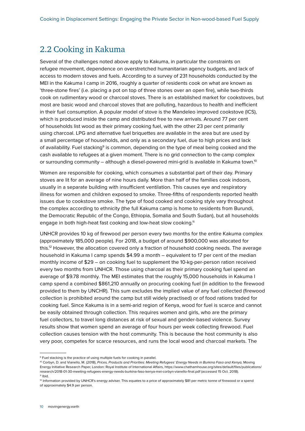#### 2.2 Cooking in Kakuma

Several of the challenges noted above apply to Kakuma, in particular the constraints on refugee movement, dependence on overstretched humanitarian agency budgets, and lack of access to modern stoves and fuels. According to a survey of 231 households conducted by the MEI in the Kakuma I camp in 2016, roughly a quarter of residents cook on what are known as 'three-stone fires' (i.e. placing a pot on top of three stones over an open fire), while two-thirds cook on rudimentary wood or charcoal stoves. There is an established market for cookstoves, but most are basic wood and charcoal stoves that are polluting, hazardous to health and inefficient in their fuel consumption. A popular model of stove is the Mandeleo improved cookstove (ICS), which is produced inside the camp and distributed free to new arrivals. Around 77 per cent of households list wood as their primary cooking fuel, with the other 23 per cent primarily using charcoal. LPG and alternative fuel briquettes are available in the area but are used by a small percentage of households, and only as a secondary fuel, due to high prices and lack of availability. Fuel stacking<sup>9</sup> is common, depending on the type of meal being cooked and the cash available to refugees at a given moment. There is no grid connection to the camp complex or surrounding community – although a diesel-powered mini-grid is available in Kakuma town.<sup>10</sup>

Women are responsible for cooking, which consumes a substantial part of their day. Primary stoves are lit for an average of nine hours daily. More than half of the families cook indoors, usually in a separate building with insufficient ventilation. This causes eye and respiratory illness for women and children exposed to smoke. Three-fifths of respondents reported health issues due to cookstove smoke. The type of food cooked and cooking style vary throughout the complex according to ethnicity (the full Kakuma camp is home to residents from Burundi, the Democratic Republic of the Congo, Ethiopia, Somalia and South Sudan), but all households engage in both high-heat fast cooking and low-heat slow cooking.<sup>11</sup>

UNHCR provides 10 kg of firewood per person every two months for the entire Kakuma complex (approximately 185,000 people). For 2018, a budget of around \$900,000 was allocated for this.12 However, the allocation covered only a fraction of household cooking needs. The average household in Kakuma I camp spends \$4.99 a month – equivalent to 17 per cent of the median monthly income of \$29 – on cooking fuel to supplement the 10-kg-per-person ration received every two months from UNHCR. Those using charcoal as their primary cooking fuel spend an average of \$9.78 monthly. The MEI estimates that the roughly 15,000 households in Kakuma I camp spend a combined \$861,210 annually on procuring cooking fuel (in addition to the firewood provided to them by UNCHR). This sum excludes the implied value of any fuel collected (firewood collection is prohibited around the camp but still widely practised) or of food rations traded for cooking fuel. Since Kakuma is in a semi-arid region of Kenya, wood for fuel is scarce and cannot be easily obtained through collection. This requires women and girls, who are the primary fuel collectors, to travel long distances at risk of sexual and gender-based violence. Survey results show that women spend an average of four hours per week collecting firewood. Fuel collection causes tension with the host community. This is because the host community is also very poor, competes for scarce resources, and runs the local wood and charcoal markets. The

<sup>&</sup>lt;sup>9</sup> Fuel stacking is the practice of using multiple fuels for cooking in parallel.

<sup>&</sup>lt;sup>10</sup> Corbyn, D. and Vianello, M. (2018), Prices, Products and Priorities: Meeting Refugees' Energy Needs in Burkina Faso and Kenya, Moving Energy Initiative Research Paper, London: Royal Institute of International Affairs, [https://www.chathamhouse.org/sites/default/files/publications/](https://www.chathamhouse.org/sites/default/files/publications/research/2018-01-30-meeting-refugees-energy-needs-burkina-faso-kenya-mei-corbyn-vianello-final.pdf) [research/2018-01-30-meeting-refugees-energy-needs-burkina-faso-kenya-mei-corbyn-vianello-final.pdf](https://www.chathamhouse.org/sites/default/files/publications/research/2018-01-30-meeting-refugees-energy-needs-burkina-faso-kenya-mei-corbyn-vianello-final.pdf) (accessed 15 Oct. 2018).  $11$  Ibid.

<sup>&</sup>lt;sup>12</sup> Information provided by UNHCR's energy adviser. This equates to a price of approximately \$81 per metric tonne of firewood or a spend of approximately \$4.9 per person.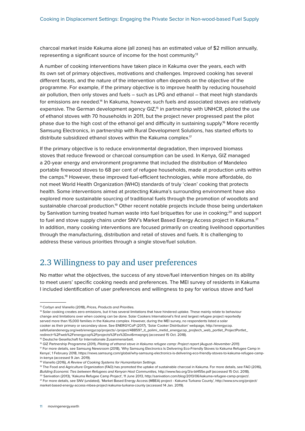charcoal market inside Kakuma alone (all zones) has an estimated value of \$2 million annually, representing a significant source of income for the host community.<sup>13</sup>

A number of cooking interventions have taken place in Kakuma over the years, each with its own set of primary objectives, motivations and challenges. Improved cooking has several different facets, and the nature of the intervention often depends on the objective of the programme. For example, if the primary objective is to improve health by reducing household air pollution, then only stoves and fuels – such as LPG and ethanol – that meet high standards for emissions are needed.<sup>14</sup> In Kakuma, however, such fuels and associated stoves are relatively expensive. The German development agency GIZ,<sup>15</sup> in partnership with UNHCR, piloted the use of ethanol stoves with 70 households in 2011, but the project never progressed past the pilot phase due to the high cost of the ethanol gel and difficulty in sustaining supply.16 More recently Samsung Electronics, in partnership with Rural Development Solutions, has started efforts to distribute subsidized ethanol stoves within the Kakuma complex.<sup>17</sup>

If the primary objective is to reduce environmental degradation, then improved biomass stoves that reduce firewood or charcoal consumption can be used. In Kenya, GIZ managed a 20-year energy and environment programme that included the distribution of Mandeleo portable firewood stoves to 68 per cent of refugee households, made at production units within the camps.18 However, these improved fuel-efficient technologies, while more affordable, do not meet World Health Organization (WHO) standards of truly 'clean' cooking that protects health. Some interventions aimed at protecting Kakuma's surrounding environment have also explored more sustainable sourcing of traditional fuels through the promotion of woodlots and sustainable charcoal production.<sup>19</sup> Other recent notable projects include those being undertaken by Sanivation turning treated human waste into fuel briquettes for use in cooking;<sup>20</sup> and support to fuel and stove supply chains under SNV's Market Based Energy Access project in Kakuma.<sup>21</sup> In addition, many cooking interventions are focused primarily on creating livelihood opportunities through the manufacturing, distribution and retail of stoves and fuels. It is challenging to address these various priorities through a single stove/fuel solution.

### 2.3 Willingness to pay and user preferences

No matter what the objectives, the success of any stove/fuel intervention hinges on its ability to meet users' specific cooking needs and preferences. The MEI survey of residents in Kakuma I included identification of user preferences and willingness to pay for various stove and fuel

14 Solar cooking creates zero emissions, but it has several limitations that have hindered uptake. These mainly relate to behaviour change and limitations over when cooking can be done. Solar Cookers International's first and largest refugee project reportedly served more than 15,000 families in the Kakuma complex. However, during the MEI survey, no respondents listed a solar cooker as their primary or secondary stove. See ENERGYCoP (2017), 'Solar Cooker Distribution' webpage, [http://energycop.](http://energycop.safefuelandenergy.org/web/energycop/projects/-/project/48859?_it_polimi_metid_energycop_projtech_web_portlet_ProjectPortlet_redirect=%2Fweb%2Fenergycop%2Fprojects%3Fzx%3Dxvi6rmxqngnj) [safefuelandenergy.org/web/energycop/projects/-/project/48859?\\_it\\_polimi\\_metid\\_energycop\\_projtech\\_web\\_portlet\\_ProjectPortlet\\_](http://energycop.safefuelandenergy.org/web/energycop/projects/-/project/48859?_it_polimi_metid_energycop_projtech_web_portlet_ProjectPortlet_redirect=%2Fweb%2Fenergycop%2Fprojects%3Fzx%3Dxvi6rmxqngnj) [redirect=%2Fweb%2Fenergycop%2Fprojects%3Fzx%3Dxvi6rmxqngnj](http://energycop.safefuelandenergy.org/web/energycop/projects/-/project/48859?_it_polimi_metid_energycop_projtech_web_portlet_ProjectPortlet_redirect=%2Fweb%2Fenergycop%2Fprojects%3Fzx%3Dxvi6rmxqngnj) (accessed 15 Oct. 2018).

15 Deutsche Gesellschaft für Internationale Zusammenarbeit.

16 GIZ Partnership Programme (2011), *Piloting of ethanol stove in Kakuma refugee camp: Project report (August–November 2011)*.

17 For more details, see Samsung Newsroom (2018), 'Why Samsung Electronics Is Delivering Eco-Friendly Stoves to Kakuma Refugee Camp in Kenya', 1 February 2018, https://news.samsung.com/global/why-samsung-electronics-is-delivering-eco-friendly-stoves-to-kakuma-refugee-campin-kenya (accessed 9 Jan. 2019).

18 Vianello (2016), *A Review of Cooking Systems for Humanitarian Settings.*

19 The Food and Agriculture Organization (FAO) has promoted the uptake of sustainable charcoal in Kakuma. For more details, see FAO (2016), Building Economic Ties between Refugees and Kenyan Host Communities, <http://www.fao.org/3/a-bt455e.pdf> (accessed 15 Oct. 2018). <sup>20</sup> Sanivation (2013), 'Kakuma Refugee Camp Project', 11 June 2013, http://sanivation.com/blog/2013/06/kakuma-refugee-camp-project/.

21 For more details, see SNV (undated), 'Market Based Energy Access (MBEA) project - Kakuma Turkana County', [http://www.snv.org/project/](http://www.snv.org/project/market-based-energy-access-mbea-project-kakuma-turkana-county) [market-based-energy-access-mbea-project-kakuma-turkana-county](http://www.snv.org/project/market-based-energy-access-mbea-project-kakuma-turkana-county) (accessed 14 Jan. 2019).

<sup>13</sup> Corbyn and Vianello (2018), *Prices, Products and Priorities.*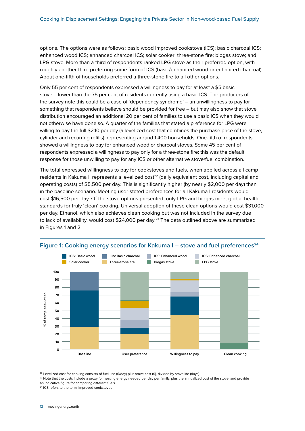options. The options were as follows: basic wood improved cookstove (ICS); basic charcoal ICS; enhanced wood ICS; enhanced charcoal ICS; solar cooker; three-stone fire; biogas stove; and LPG stove. More than a third of respondents ranked LPG stove as their preferred option, with roughly another third preferring some form of ICS (basic/enhanced wood or enhanced charcoal). About one-fifth of households preferred a three-stone fire to all other options.

Only 55 per cent of respondents expressed a willingness to pay for at least a \$5 basic stove – lower than the 75 per cent of residents currently using a basic ICS. The producers of the survey note this could be a case of 'dependency syndrome' – an unwillingness to pay for something that respondents believe should be provided for free – but may also show that stove distribution encouraged an additional 20 per cent of families to use a basic ICS when they would not otherwise have done so. A quarter of the families that stated a preference for LPG were willing to pay the full \$2.10 per day (a levelized cost that combines the purchase price of the stove, cylinder and recurring refills), representing around 1,400 households. One-fifth of respondents showed a willingness to pay for enhanced wood or charcoal stoves. Some 45 per cent of respondents expressed a willingness to pay only for a three-stone fire; this was the default response for those unwilling to pay for any ICS or other alternative stove/fuel combination.

The total expressed willingness to pay for cookstoves and fuels, when applied across all camp residents in Kakuma I, represents a levelized  $cost<sup>22</sup>$  (daily equivalent cost, including capital and operating costs) of \$5,500 per day. This is significantly higher (by nearly \$2,000 per day) than in the baseline scenario. Meeting user-stated preferences for all Kakuma I residents would cost \$16,500 per day. Of the stove options presented, only LPG and biogas meet global health standards for truly 'clean' cooking. Universal adoption of these clean options would cost \$31,000 per day. Ethanol, which also achieves clean cooking but was not included in the survey due to lack of availability, would cost  $$24,000$  per day.<sup>23</sup> The data outlined above are summarized in Figures 1 and 2.



#### Figure 1: Cooking energy scenarios for Kakuma I – stove and fuel preferences<sup>24</sup>

<sup>&</sup>lt;sup>22</sup> Levelized cost for cooking consists of fuel use (\$/day) plus stove cost (\$), divided by stove life (days).

<sup>&</sup>lt;sup>23</sup> Note that the costs include a proxy for heating energy needed per day per family, plus the annualized cost of the stove, and provide an indicative figure for comparing different fuels.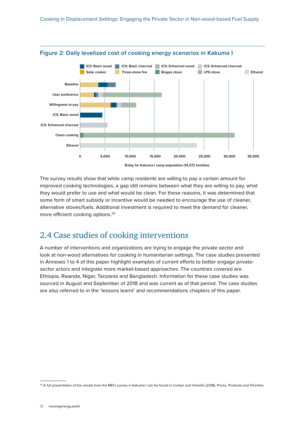



The survey results show that while camp residents are willing to pay a certain amount for improved cooking technologies, a gap still remains between what they are willing to pay, what they would prefer to use and what would be clean. For these reasons, it was determined that some form of smart subsidy or incentive would be needed to encourage the use of cleaner, alternative stoves/fuels. Additional investment is required to meet the demand for cleaner, more efficient cooking options.25

### 2.4 Case studies of cooking interventions

A number of interventions and organizations are trying to engage the private sector and look at non-wood alternatives for cooking in humanitarian settings. The case studies presented in Annexes 1 to 4 of this paper highlight examples of current efforts to better engage privatesector actors and integrate more market-based approaches. The countries covered are Ethiopia, Rwanda, Niger, Tanzania and Bangladesh. Information for these case studies was sourced in August and September of 2018 and was current as of that period. The case studies are also referred to in the 'lessons learnt' and recommendations chapters of this paper.

<sup>25</sup> A full presentation of the results from the MEI's survey in Kakuma I can be found in Corbyn and Vianello (2018), *Prices, Products and Priorities.*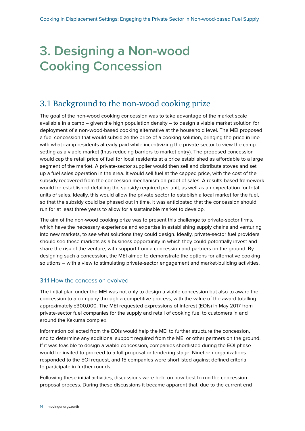## <span id="page-14-0"></span>**3. Designing a Non-wood Cooking Concession**

### 3.1 Background to the non-wood cooking prize

The goal of the non-wood cooking concession was to take advantage of the market scale available in a camp – given the high population density – to design a viable market solution for deployment of a non-wood-based cooking alternative at the household level. The MEI proposed a fuel concession that would subsidize the price of a cooking solution, bringing the price in line with what camp residents already paid while incentivizing the private sector to view the camp setting as a viable market (thus reducing barriers to market entry). The proposed concession would cap the retail price of fuel for local residents at a price established as affordable to a large segment of the market. A private-sector supplier would then sell and distribute stoves and set up a fuel sales operation in the area. It would sell fuel at the capped price, with the cost of the subsidy recovered from the concession mechanism on proof of sales. A results-based framework would be established detailing the subsidy required per unit, as well as an expectation for total units of sales. Ideally, this would allow the private sector to establish a local market for the fuel, so that the subsidy could be phased out in time. It was anticipated that the concession should run for at least three years to allow for a sustainable market to develop.

The aim of the non-wood cooking prize was to present this challenge to private-sector firms, which have the necessary experience and expertise in establishing supply chains and venturing into new markets, to see what solutions they could design. Ideally, private-sector fuel providers should see these markets as a business opportunity in which they could potentially invest and share the risk of the venture, with support from a concession and partners on the ground. By designing such a concession, the MEI aimed to demonstrate the options for alternative cooking solutions – with a view to stimulating private-sector engagement and market-building activities.

#### 3.1.1 How the concession evolved

The initial plan under the MEI was not only to design a viable concession but also to award the concession to a company through a competitive process, with the value of the award totalling approximately £300,000. The MEI requested expressions of interest (EOIs) in May 2017 from private-sector fuel companies for the supply and retail of cooking fuel to customers in and around the Kakuma complex.

Information collected from the EOIs would help the MEI to further structure the concession, and to determine any additional support required from the MEI or other partners on the ground. If it was feasible to design a viable concession, companies shortlisted during the EOI phase would be invited to proceed to a full proposal or tendering stage. Nineteen organizations responded to the EOI request, and 15 companies were shortlisted against defined criteria to participate in further rounds.

Following these initial activities, discussions were held on how best to run the concession proposal process. During these discussions it became apparent that, due to the current end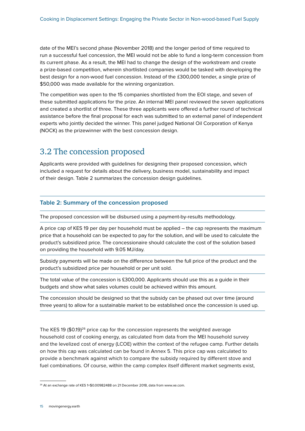date of the MEI's second phase (November 2018) and the longer period of time required to run a successful fuel concession, the MEI would not be able to fund a long-term concession from its current phase. As a result, the MEI had to change the design of the workstream and create a prize-based competition, wherein shortlisted companies would be tasked with developing the best design for a non-wood fuel concession. Instead of the £300,000 tender, a single prize of \$50,000 was made available for the winning organization.

The competition was open to the 15 companies shortlisted from the EOI stage, and seven of these submitted applications for the prize. An internal MEI panel reviewed the seven applications and created a shortlist of three. These three applicants were offered a further round of technical assistance before the final proposal for each was submitted to an external panel of independent experts who jointly decided the winner. This panel judged National Oil Corporation of Kenya (NOCK) as the prizewinner with the best concession design.

#### 3.2 The concession proposed

Applicants were provided with guidelines for designing their proposed concession, which included a request for details about the delivery, business model, sustainability and impact of their design. Table 2 summarizes the concession design guidelines.

#### **Table 2: Summary of the concession proposed**

The proposed concession will be disbursed using a payment-by-results methodology.

A price cap of KES 19 per day per household must be applied – the cap represents the maximum price that a household can be expected to pay for the solution, and will be used to calculate the product's subsidized price. The concessionaire should calculate the cost of the solution based on providing the household with 9.05 MJ/day.

Subsidy payments will be made on the difference between the full price of the product and the product's subsidized price per household or per unit sold.

The total value of the concession is £300,000. Applicants should use this as a guide in their budgets and show what sales volumes could be achieved within this amount.

The concession should be designed so that the subsidy can be phased out over time (around three years) to allow for a sustainable market to be established once the concession is used up.

The KES 19  $(\$0.19)^{26}$  price cap for the concession represents the weighted average household cost of cooking energy, as calculated from data from the MEI household survey and the levelized cost of energy (LCOE) within the context of the refugee camp. Further details on how this cap was calculated can be found in Annex 5. This price cap was calculated to provide a benchmark against which to compare the subsidy required by different stove and fuel combinations. Of course, within the camp complex itself different market segments exist,

<sup>&</sup>lt;sup>26</sup> At an exchange rate of KES 1=\$0.00982488 on 21 December 2018, data from [www.xe.com.](http://www.xe.com)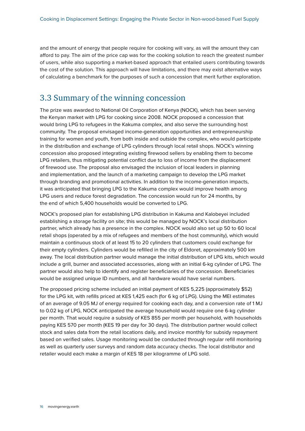and the amount of energy that people require for cooking will vary, as will the amount they can afford to pay. The aim of the price cap was for the cooking solution to reach the greatest number of users, while also supporting a market-based approach that entailed users contributing towards the cost of the solution. This approach will have limitations, and there may exist alternative ways of calculating a benchmark for the purposes of such a concession that merit further exploration.

#### 3.3 Summary of the winning concession

The prize was awarded to National Oil Corporation of Kenya (NOCK), which has been serving the Kenyan market with LPG for cooking since 2008. NOCK proposed a concession that would bring LPG to refugees in the Kakuma complex, and also serve the surrounding host community. The proposal envisaged income-generation opportunities and entrepreneurship training for women and youth, from both inside and outside the complex, who would participate in the distribution and exchange of LPG cylinders through local retail shops. NOCK's winning concession also proposed integrating existing firewood sellers by enabling them to become LPG retailers, thus mitigating potential conflict due to loss of income from the displacement of firewood use. The proposal also envisaged the inclusion of local leaders in planning and implementation, and the launch of a marketing campaign to develop the LPG market through branding and promotional activities. In addition to the income-generation impacts, it was anticipated that bringing LPG to the Kakuma complex would improve health among LPG users and reduce forest degradation. The concession would run for 24 months, by the end of which 5,400 households would be converted to LPG.

NOCK's proposed plan for establishing LPG distribution in Kakuma and Kalobeyei included establishing a storage facility on site; this would be managed by NOCK's local distribution partner, which already has a presence in the complex. NOCK would also set up 50 to 60 local retail shops (operated by a mix of refugees and members of the host community), which would maintain a continuous stock of at least 15 to 20 cylinders that customers could exchange for their empty cylinders. Cylinders would be refilled in the city of Eldoret, approximately 500 km away. The local distribution partner would manage the initial distribution of LPG kits, which would include a grill, burner and associated accessories, along with an initial 6-kg cylinder of LPG. The partner would also help to identify and register beneficiaries of the concession. Beneficiaries would be assigned unique ID numbers, and all hardware would have serial numbers.

The proposed pricing scheme included an initial payment of KES 5,225 (approximately \$52) for the LPG kit, with refills priced at KES 1,425 each (for 6 kg of LPG). Using the MEI estimates of an average of 9.05 MJ of energy required for cooking each day, and a conversion rate of 1 MJ to 0.02 kg of LPG, NOCK anticipated the average household would require one 6-kg cylinder per month. That would require a subsidy of KES 855 per month per household, with households paying KES 570 per month (KES 19 per day for 30 days). The distribution partner would collect stock and sales data from the retail locations daily, and invoice monthly for subsidy repayment based on verified sales. Usage monitoring would be conducted through regular refill monitoring as well as quarterly user surveys and random data accuracy checks. The local distributor and retailer would each make a margin of KES 18 per kilogramme of LPG sold.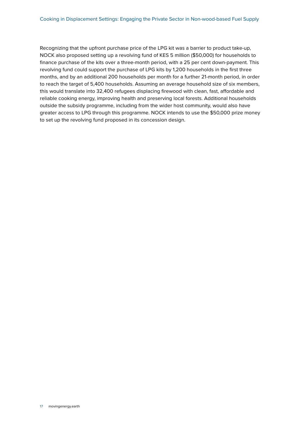Recognizing that the upfront purchase price of the LPG kit was a barrier to product take-up, NOCK also proposed setting up a revolving fund of KES 5 million (\$50,000) for households to finance purchase of the kits over a three-month period, with a 25 per cent down-payment. This revolving fund could support the purchase of LPG kits by 1,200 households in the first three months, and by an additional 200 households per month for a further 21-month period, in order to reach the target of 5,400 households. Assuming an average household size of six members, this would translate into 32,400 refugees displacing firewood with clean, fast, affordable and reliable cooking energy, improving health and preserving local forests. Additional households outside the subsidy programme, including from the wider host community, would also have greater access to LPG through this programme. NOCK intends to use the \$50,000 prize money to set up the revolving fund proposed in its concession design.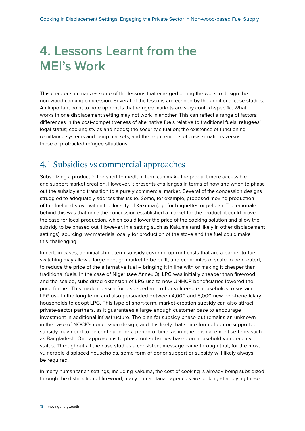## <span id="page-18-0"></span>**4. Lessons Learnt from the MEI's Work**

This chapter summarizes some of the lessons that emerged during the work to design the non-wood cooking concession. Several of the lessons are echoed by the additional case studies. An important point to note upfront is that refugee markets are very context-specific. What works in one displacement setting may not work in another. This can reflect a range of factors: differences in the cost-competitiveness of alternative fuels relative to traditional fuels; refugees' legal status; cooking styles and needs; the security situation; the existence of functioning remittance systems and camp markets; and the requirements of crisis situations versus those of protracted refugee situations.

### 4.1 Subsidies vs commercial approaches

Subsidizing a product in the short to medium term can make the product more accessible and support market creation. However, it presents challenges in terms of how and when to phase out the subsidy and transition to a purely commercial market. Several of the concession designs struggled to adequately address this issue. Some, for example, proposed moving production of the fuel and stove within the locality of Kakuma (e.g. for briquettes or pellets). The rationale behind this was that once the concession established a market for the product, it could prove the case for local production, which could lower the price of the cooking solution and allow the subsidy to be phased out. However, in a setting such as Kakuma (and likely in other displacement settings), sourcing raw materials locally for production of the stove and the fuel could make this challenging.

In certain cases, an initial short-term subsidy covering upfront costs that are a barrier to fuel switching may allow a large enough market to be built, and economies of scale to be created, to reduce the price of the alternative fuel – bringing it in line with or making it cheaper than traditional fuels. In the case of Niger (see Annex 3), LPG was initially cheaper than firewood, and the scaled, subsidized extension of LPG use to new UNHCR beneficiaries lowered the price further. This made it easier for displaced and other vulnerable households to sustain LPG use in the long term, and also persuaded between 4,000 and 5,000 new non-beneficiary households to adopt LPG. This type of short-term, market-creation subsidy can also attract private-sector partners, as it guarantees a large enough customer base to encourage investment in additional infrastructure. The plan for subsidy phase-out remains an unknown in the case of NOCK's concession design, and it is likely that some form of donor-supported subsidy may need to be continued for a period of time, as in other displacement settings such as Bangladesh. One approach is to phase out subsidies based on household vulnerability status. Throughout all the case studies a consistent message came through that, for the most vulnerable displaced households, some form of donor support or subsidy will likely always be required.

In many humanitarian settings, including Kakuma, the cost of cooking is already being subsidized through the distribution of firewood; many humanitarian agencies are looking at applying these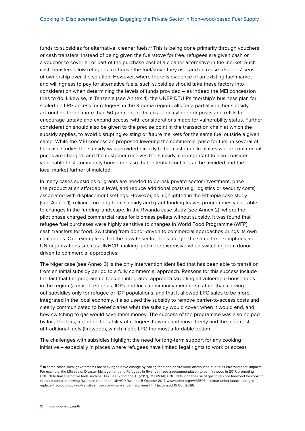funds to subsidies for alternative, cleaner fuels.<sup>27</sup> This is being done primarily through vouchers or cash transfers. Instead of being given the fuel/stove for free, refugees are given cash or a voucher to cover all or part of the purchase cost of a cleaner alternative in the market. Such cash transfers allow refugees to choose the fuel/stove they use, and increase refugees' sense of ownership over the solution. However, where there is evidence of an existing fuel market and willingness to pay for alternative fuels, such subsidies should take these factors into consideration when determining the levels of funds provided – as indeed the MEI concession tries to do. Likewise, in Tanzania (see Annex 4), the UNEP DTU Partnership's business plan for scaled-up LPG access for refugees in the Kigoma region calls for a partial voucher subsidy – accounting for no more than 50 per cent of the cost – on cylinder deposits and refills to encourage uptake and expand access, with considerations made for vulnerability status. Further consideration should also be given to the precise point in the transaction chain at which the subsidy applies, to avoid disrupting existing or future markets for the same fuel outside a given camp. While the MEI concession proposed lowering the commercial price for fuel, in several of the case studies the subsidy was provided directly to the customer. In places where commercial prices are charged, and the customer receives the subsidy, it is important to also consider vulnerable host-community households so that potential conflict can be avoided and the local market further stimulated.

In many cases subsidies or grants are needed to de-risk private-sector investment, price the product at an affordable level, and reduce additional costs (e.g. logistics or security costs) associated with displacement settings. However, as highlighted in the Ethiopia case study (see Annex 1), reliance on long-term subsidy and grant funding leaves programmes vulnerable to changes in the funding landscape. In the Rwanda case study (see Annex 2), where the pilot phase charged commercial rates for biomass pellets without subsidy, it was found that refugee fuel purchases were highly sensitive to changes in World Food Programme (WFP) cash transfers for food. Switching from donor-driven to commercial approaches brings its own challenges. One example is that the private sector does not get the same tax exemptions as UN organizations such as UNHCR, making fuel more expensive when switching from donordriven to commercial approaches.

The Niger case (see Annex 3) is the only intervention identified that has been able to transition from an initial subsidy period to a fully commercial approach. Reasons for this success include the fact that the programme took an integrated approach targeting all vulnerable households in the region (a mix of refugees, IDPs and local community members) rather than carving out subsidies only for refugee or IDP populations, and that it allowed LPG sales to be more integrated in the local economy. It also used the subsidy to remove barrier-to-access costs and clearly communicated to beneficiaries what the subsidy would cover, when it would end, and how switching to gas would save them money. The success of the programme was also helped by local factors, including the ability of refugees to work and move freely and the high cost of traditional fuels (firewood), which made LPG the most affordable option.

The challenges with subsidies highlight the need for long-term support for any cooking initiative – especially in places where refugees have limited legal rights to work or access

<sup>&</sup>lt;sup>27</sup> In some cases, local governments are seeking to drive change by calling for a ban on firewood distribution due to its environmental impacts. For example, the Ministry of Disaster Management and Refugees in Rwanda made a recommendation to ban firewood in 2017, prompting UNHCR to trial alternative fuels such as LPG. See Sibomana, E. (2017), 'MIDIMAR, UNHCR launch the use of gas to replace firewood for cooking in transit camps receiving Rwandan returnees', UNHCR Rwanda, 5 October 2017, [www.unhcr.org/rw/12503-midimar-unhcr-launch-use-gas](http://www.unhcr.org/rw/12503-midimar-unhcr-launch-use-gas-replace-firewood-cooking-transit-camps-receiving-rwandan-returnees.html)[replace-firewood-cooking-transit-camps-receiving-rwandan-returnees.html](http://www.unhcr.org/rw/12503-midimar-unhcr-launch-use-gas-replace-firewood-cooking-transit-camps-receiving-rwandan-returnees.html) (accessed 15 Oct. 2018).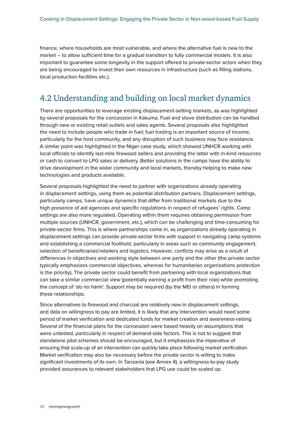finance, where households are most vulnerable, and where the alternative fuel is new to the market – to allow sufficient time for a gradual transition to fully commercial models. It is also important to guarantee some longevity in the support offered to private-sector actors when they are being encouraged to invest their own resources in infrastructure (such as filling stations, local production facilities etc.).

### 4.2 Understanding and building on local market dynamics

There are opportunities to leverage existing displacement-setting markets, as was highlighted by several proposals for the concession in Kakuma. Fuel and stove distribution can be handled through new or existing retail outlets and sales agents. Several proposals also highlighted the need to include people who trade in fuel; fuel trading is an important source of income, particularly for the host community, and any disruption of such business may face resistance. A similar point was highlighted in the Niger case study, which showed UNHCR working with local officials to identify last-mile firewood sellers and providing the latter with in-kind resources or cash to convert to LPG sales or delivery. Better solutions in the camps have the ability to drive development in the wider community and local markets, thereby helping to make new technologies and products available.

Several proposals highlighted the need to partner with organizations already operating in displacement settings, using them as potential distribution partners. Displacement settings, particularly camps, have unique dynamics that differ from traditional markets due to the high presence of aid agencies and specific regulations in respect of refugees' rights. Camp settings are also more regulated. Operating within them requires obtaining permission from multiple sources (UNHCR, government, etc.), which can be challenging and time-consuming for private-sector firms. This is where partnerships come in, as organizations already operating in displacement settings can provide private-sector firms with support in navigating camp systems and establishing a commercial foothold, particularly in areas such as community engagement, selection of beneficiaries/retailers and logistics. However, conflicts may arise as a result of differences in objectives and working style between one party and the other (the private sector typically emphasizes commercial objectives, whereas for humanitarian organizations protection is the priority). The private sector could benefit from partnering with local organizations that can take a similar commercial view (potentially earning a profit from their role) while promoting the concept of 'do no harm'. Support may be required (by the MEI or others) in forming these relationships.

Since alternatives to firewood and charcoal are relatively new in displacement settings, and data on willingness to pay are limited, it is likely that any intervention would need some period of market verification and dedicated funds for market creation and awareness-raising. Several of the financial plans for the concession were based heavily on assumptions that were untested, particularly in respect of demand-side factors. This is not to suggest that standalone pilot schemes should be encouraged, but it emphasizes the imperative of ensuring that scale-up of an intervention can quickly take place following market verification. Market verification may also be necessary before the private sector is willing to make significant investments of its own. In Tanzania (see Annex 4), a willingness-to-pay study provided assurances to relevant stakeholders that LPG use could be scaled up.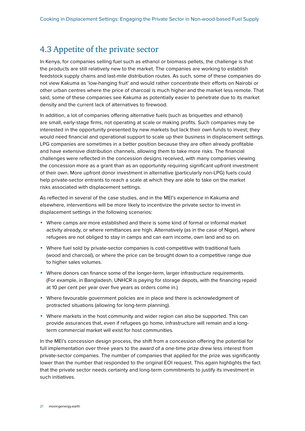#### 4.3 Appetite of the private sector

In Kenya, for companies selling fuel such as ethanol or biomass pellets, the challenge is that the products are still relatively new to the market. The companies are working to establish feedstock supply chains and last-mile distribution routes. As such, some of these companies do not view Kakuma as 'low-hanging fruit' and would rather concentrate their efforts on Nairobi or other urban centres where the price of charcoal is much higher and the market less remote. That said, some of these companies see Kakuma as potentially easier to penetrate due to its market density and the current lack of alternatives to firewood.

In addition, a lot of companies offering alternative fuels (such as briquettes and ethanol) are small, early-stage firms, not operating at scale or making profits. Such companies may be interested in the opportunity presented by new markets but lack their own funds to invest; they would need financial and operational support to scale up their business in displacement settings. LPG companies are sometimes in a better position because they are often already profitable and have extensive distribution channels, allowing them to take more risks. The financial challenges were reflected in the concession designs received, with many companies viewing the concession more as a grant than as an opportunity requiring significant upfront investment of their own. More upfront donor investment in alternative (particularly non-LPG) fuels could help private-sector entrants to reach a scale at which they are able to take on the market risks associated with displacement settings.

As reflected in several of the case studies, and in the MEI's experience in Kakuma and elsewhere, interventions will be more likely to incentivize the private sector to invest in displacement settings in the following scenarios:

- **•** Where camps are more established and there is some kind of formal or informal market activity already, or where remittances are high. Alternatively (as in the case of Niger), where refugees are not obliged to stay in camps and can earn income, own land and so on.
- **•** Where fuel sold by private-sector companies is cost-competitive with traditional fuels (wood and charcoal), or where the price can be brought down to a competitive range due to higher sales volumes.
- **•** Where donors can finance some of the longer-term, larger infrastructure requirements. (For example, in Bangladesh, UNHCR is paying for storage depots, with the financing repaid at 10 per cent per year over five years as orders come in.)
- **•** Where favourable government policies are in place and there is acknowledgment of protracted situations (allowing for long-term planning).
- **•** Where markets in the host community and wider region can also be supported. This can provide assurances that, even if refugees go home, infrastructure will remain and a longterm commercial market will exist for host communities.

In the MEI's concession design process, the shift from a concession offering the potential for full implementation over three years to the award of a one-time prize drew less interest from private-sector companies. The number of companies that applied for the prize was significantly lower than the number that responded to the original EOI request. This again highlights the fact that the private sector needs certainty and long-term commitments to justify its investment in such initiatives.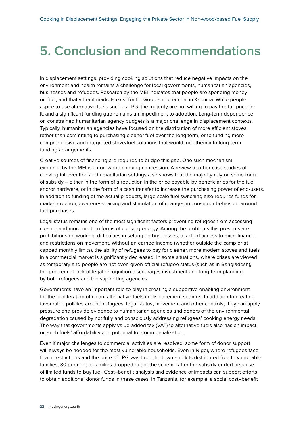### <span id="page-22-0"></span>**5. Conclusion and Recommendations**

In displacement settings, providing cooking solutions that reduce negative impacts on the environment and health remains a challenge for local governments, humanitarian agencies, businesses and refugees. Research by the MEI indicates that people are spending money on fuel, and that vibrant markets exist for firewood and charcoal in Kakuma. While people aspire to use alternative fuels such as LPG, the majority are not willing to pay the full price for it, and a significant funding gap remains an impediment to adoption. Long-term dependence on constrained humanitarian agency budgets is a major challenge in displacement contexts. Typically, humanitarian agencies have focused on the distribution of more efficient stoves rather than committing to purchasing cleaner fuel over the long term, or to funding more comprehensive and integrated stove/fuel solutions that would lock them into long-term funding arrangements.

Creative sources of financing are required to bridge this gap. One such mechanism explored by the MEI is a non-wood cooking concession. A review of other case studies of cooking interventions in humanitarian settings also shows that the majority rely on some form of subsidy – either in the form of a reduction in the price payable by beneficiaries for the fuel and/or hardware, or in the form of a cash transfer to increase the purchasing power of end-users. In addition to funding of the actual products, large-scale fuel switching also requires funds for market creation, awareness-raising and stimulation of changes in consumer behaviour around fuel purchases.

Legal status remains one of the most significant factors preventing refugees from accessing cleaner and more modern forms of cooking energy. Among the problems this presents are prohibitions on working, difficulties in setting up businesses, a lack of access to microfinance, and restrictions on movement. Without an earned income (whether outside the camp or at capped monthly limits), the ability of refugees to pay for cleaner, more modern stoves and fuels in a commercial market is significantly decreased. In some situations, where crises are viewed as temporary and people are not even given official refugee status (such as in Bangladesh), the problem of lack of legal recognition discourages investment and long-term planning by both refugees and the supporting agencies.

Governments have an important role to play in creating a supportive enabling environment for the proliferation of clean, alternative fuels in displacement settings. In addition to creating favourable policies around refugees' legal status, movement and other controls, they can apply pressure and provide evidence to humanitarian agencies and donors of the environmental degradation caused by not fully and consciously addressing refugees' cooking energy needs. The way that governments apply value-added tax (VAT) to alternative fuels also has an impact on such fuels' affordability and potential for commercialization.

Even if major challenges to commercial activities are resolved, some form of donor support will always be needed for the most vulnerable households. Even in Niger, where refugees face fewer restrictions and the price of LPG was brought down and kits distributed free to vulnerable families, 30 per cent of families dropped out of the scheme after the subsidy ended because of limited funds to buy fuel. Cost–benefit analysis and evidence of impacts can support efforts to obtain additional donor funds in these cases. In Tanzania, for example, a social cost–benefit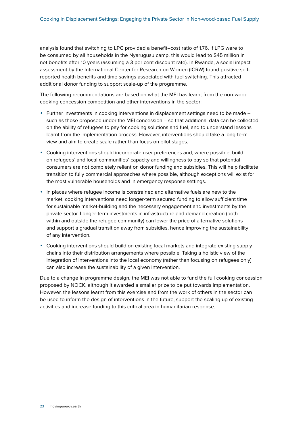analysis found that switching to LPG provided a benefit–cost ratio of 1.76. If LPG were to be consumed by all households in the Nyarugusu camp, this would lead to \$45 million in net benefits after 10 years (assuming a 3 per cent discount rate). In Rwanda, a social impact assessment by the International Center for Research on Women (ICRW) found positive selfreported health benefits and time savings associated with fuel switching. This attracted additional donor funding to support scale-up of the programme.

The following recommendations are based on what the MEI has learnt from the non-wood cooking concession competition and other interventions in the sector:

- **•** Further investments in cooking interventions in displacement settings need to be made such as those proposed under the MEI concession – so that additional data can be collected on the ability of refugees to pay for cooking solutions and fuel, and to understand lessons learnt from the implementation process. However, interventions should take a long-term view and aim to create scale rather than focus on pilot stages.
- **•** Cooking interventions should incorporate user preferences and, where possible, build on refugees' and local communities' capacity and willingness to pay so that potential consumers are not completely reliant on donor funding and subsidies. This will help facilitate transition to fully commercial approaches where possible, although exceptions will exist for the most vulnerable households and in emergency response settings.
- **•** In places where refugee income is constrained and alternative fuels are new to the market, cooking interventions need longer-term secured funding to allow sufficient time for sustainable market-building and the necessary engagement and investments by the private sector. Longer-term investments in infrastructure and demand creation (both within and outside the refugee community) can lower the price of alternative solutions and support a gradual transition away from subsidies, hence improving the sustainability of any intervention.
- **•** Cooking interventions should build on existing local markets and integrate existing supply chains into their distribution arrangements where possible. Taking a holistic view of the integration of interventions into the local economy (rather than focusing on refugees only) can also increase the sustainability of a given intervention.

Due to a change in programme design, the MEI was not able to fund the full cooking concession proposed by NOCK, although it awarded a smaller prize to be put towards implementation. However, the lessons learnt from this exercise and from the work of others in the sector can be used to inform the design of interventions in the future, support the scaling up of existing activities and increase funding to this critical area in humanitarian response.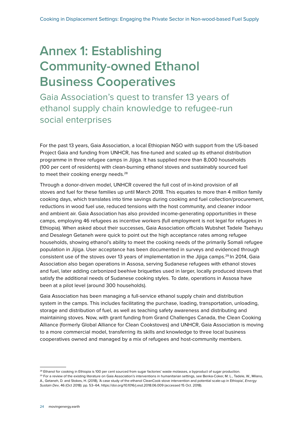## <span id="page-24-0"></span>**Annex 1: Establishing Community-owned Ethanol Business Cooperatives**

Gaia Association's quest to transfer 13 years of ethanol supply chain knowledge to refugee-run social enterprises

For the past 13 years, Gaia Association, a local Ethiopian NGO with support from the US-based Project Gaia and funding from UNHCR, has fine-tuned and scaled up its ethanol distribution programme in three refugee camps in Jijiga. It has supplied more than 8,000 households (100 per cent of residents) with clean-burning ethanol stoves and sustainably sourced fuel to meet their cooking energy needs.<sup>28</sup>

Through a donor-driven model, UNHCR covered the full cost of in-kind provision of all stoves and fuel for these families up until March 2018. This equates to more than 4 million family cooking days, which translates into time savings during cooking and fuel collection/procurement, reductions in wood fuel use, reduced tensions with the host community, and cleaner indoor and ambient air. Gaia Association has also provided income-generating opportunities in these camps, employing 46 refugees as incentive workers (full employment is not legal for refugees in Ethiopia). When asked about their successes, Gaia Association officials Wubshet Tadele Tsehayu and Desalegn Getaneh were quick to point out the high acceptance rates among refugee households, showing ethanol's ability to meet the cooking needs of the primarily Somali refugee population in Jijiga. User acceptance has been documented in surveys and evidenced through consistent use of the stoves over 13 years of implementation in the Jijiga camps.<sup>29</sup> In 2014, Gaia Association also began operations in Assosa, serving Sudanese refugees with ethanol stoves and fuel, later adding carbonized beehive briquettes used in larger, locally produced stoves that satisfy the additional needs of Sudanese cooking styles. To date, operations in Assosa have been at a pilot level (around 300 households).

Gaia Association has been managing a full-service ethanol supply chain and distribution system in the camps. This includes facilitating the purchase, loading, transportation, unloading, storage and distribution of fuel, as well as teaching safety awareness and distributing and maintaining stoves. Now, with grant funding from Grand Challenges Canada, the Clean Cooking Alliance (formerly Global Alliance for Clean Cookstoves) and UNHCR, Gaia Association is moving to a more commercial model, transferring its skills and knowledge to three local business cooperatives owned and managed by a mix of refugees and host-community members.

<sup>&</sup>lt;sup>28</sup> Ethanol for cooking in Ethiopia is 100 per cent sourced from sugar factories' waste molasses, a byproduct of sugar production.

<sup>&</sup>lt;sup>29</sup> For a review of the existing literature on Gaia Association's interventions in humanitarian settings, see Benka-Coker, M. L., Tadele, W., Milano, A., Getaneh, D. and Stokes, H. (2018), 'A case study of the ethanol CleanCook stove intervention and potential scale-up in Ethiopia', *Energy Sustain Dev*, 46 (Oct 2018): pp. 53–64,<https://doi.org/10.1016/j.esd.2018.06.009> (accessed 15 Oct. 2018).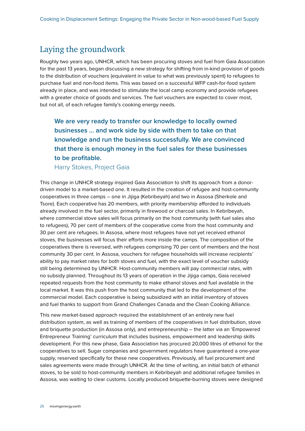### Laying the groundwork

Roughly two years ago, UNHCR, which has been procuring stoves and fuel from Gaia Association for the past 13 years, began discussing a new strategy for shifting from in-kind provision of goods to the distribution of vouchers (equivalent in value to what was previously spent) to refugees to purchase fuel and non-food items. This was based on a successful WFP cash-for-food system already in place, and was intended to stimulate the local camp economy and provide refugees with a greater choice of goods and services. The fuel vouchers are expected to cover most, but not all, of each refugee family's cooking energy needs.

**We are very ready to transfer our knowledge to locally owned businesses … and work side by side with them to take on that knowledge and run the business successfully. We are convinced that there is enough money in the fuel sales for these businesses to be profitable.**

Harry Stokes, Project Gaia

This change in UNHCR strategy inspired Gaia Association to shift its approach from a donordriven model to a market-based one. It resulted in the creation of refugee and host-community cooperatives in three camps – one in Jijiga (Kebribeyah) and two in Assosa (Sherkole and Tsore). Each cooperative has 20 members, with priority membership afforded to individuals already involved in the fuel sector, primarily in firewood or charcoal sales. In Kebribeyah, where commercial stove sales will focus primarily on the host community (with fuel sales also to refugees), 70 per cent of members of the cooperative come from the host community and 30 per cent are refugees. In Assosa, where most refugees have not yet received ethanol stoves, the businesses will focus their efforts more inside the camps. The composition of the cooperatives there is reversed, with refugees comprising 70 per cent of members and the host community 30 per cent. In Assosa, vouchers for refugee households will increase recipients' ability to pay market rates for both stoves and fuel, with the exact level of voucher subsidy still being determined by UNHCR. Host-community members will pay commercial rates, with no subsidy planned. Throughout its 13 years of operation in the Jijiga camps, Gaia received repeated requests from the host community to make ethanol stoves and fuel available in the local market. It was this push from the host community that led to the development of the commercial model. Each cooperative is being subsidized with an initial inventory of stoves and fuel thanks to support from Grand Challenges Canada and the Clean Cooking Alliance.

This new market-based approach required the establishment of an entirely new fuel distribution system, as well as training of members of the cooperatives in fuel distribution, stove and briquette production (in Assosa only), and entrepreneurship – the latter via an 'Empowered Entrepreneur Training' curriculum that includes business, empowerment and leadership skills development. For this new phase, Gaia Association has procured 20,000 litres of ethanol for the cooperatives to sell. Sugar companies and government regulators have guaranteed a one-year supply, reserved specifically for these new cooperatives. Previously, all fuel procurement and sales agreements were made through UNHCR. At the time of writing, an initial batch of ethanol stoves, to be sold to host-community members in Kebribeyah and additional refugee families in Assosa, was waiting to clear customs. Locally produced briquette-burning stoves were designed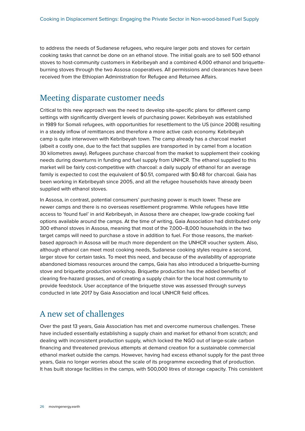to address the needs of Sudanese refugees, who require larger pots and stoves for certain cooking tasks that cannot be done on an ethanol stove. The initial goals are to sell 500 ethanol stoves to host-community customers in Kebribeyah and a combined 4,000 ethanol and briquetteburning stoves through the two Assosa cooperatives. All permissions and clearances have been received from the Ethiopian Administration for Refugee and Returnee Affairs.

#### Meeting disparate customer needs

Critical to this new approach was the need to develop site-specific plans for different camp settings with significantly divergent levels of purchasing power. Kebribeyah was established in 1989 for Somali refugees, with opportunities for resettlement to the US (since 2008) resulting in a steady inflow of remittances and therefore a more active cash economy. Kebribeyah camp is quite interwoven with Kebribeyah town. The camp already has a charcoal market (albeit a costly one, due to the fact that supplies are transported in by camel from a location 30 kilometres away). Refugees purchase charcoal from the market to supplement their cooking needs during downturns in funding and fuel supply from UNHCR. The ethanol supplied to this market will be fairly cost-competitive with charcoal: a daily supply of ethanol for an average family is expected to cost the equivalent of \$0.51, compared with \$0.48 for charcoal. Gaia has been working in Kebribeyah since 2005, and all the refugee households have already been supplied with ethanol stoves.

In Assosa, in contrast, potential consumers' purchasing power is much lower. These are newer camps and there is no overseas resettlement programme. While refugees have little access to 'found fuel' in arid Kebribeyah, in Assosa there are cheaper, low-grade cooking fuel options available around the camps. At the time of writing, Gaia Association had distributed only 300 ethanol stoves in Assosa, meaning that most of the 7,000–8,000 households in the two target camps will need to purchase a stove in addition to fuel. For those reasons, the marketbased approach in Assosa will be much more dependent on the UNHCR voucher system. Also, although ethanol can meet most cooking needs, Sudanese cooking styles require a second, larger stove for certain tasks. To meet this need, and because of the availability of appropriate abandoned biomass resources around the camps, Gaia has also introduced a briquette-burning stove and briquette production workshop. Briquette production has the added benefits of clearing fire-hazard grasses, and of creating a supply chain for the local host community to provide feedstock. User acceptance of the briquette stove was assessed through surveys conducted in late 2017 by Gaia Association and local UNHCR field offices.

### A new set of challenges

Over the past 13 years, Gaia Association has met and overcome numerous challenges. These have included essentially establishing a supply chain and market for ethanol from scratch; and dealing with inconsistent production supply, which locked the NGO out of large-scale carbon financing and threatened previous attempts at demand creation for a sustainable commercial ethanol market outside the camps. However, having had excess ethanol supply for the past three years, Gaia no longer worries about the scale of its programme exceeding that of production. It has built storage facilities in the camps, with 500,000 litres of storage capacity. This consistent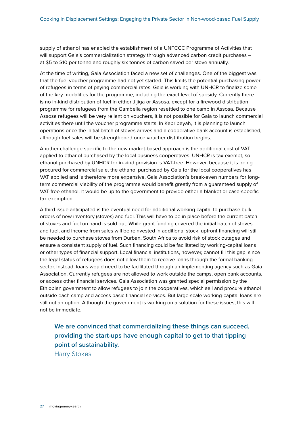supply of ethanol has enabled the establishment of a UNFCCC Programme of Activities that will support Gaia's commercialization strategy through advanced carbon credit purchases – at \$5 to \$10 per tonne and roughly six tonnes of carbon saved per stove annually.

At the time of writing, Gaia Association faced a new set of challenges. One of the biggest was that the fuel voucher programme had not yet started. This limits the potential purchasing power of refugees in terms of paying commercial rates. Gaia is working with UNHCR to finalize some of the key modalities for the programme, including the exact level of subsidy. Currently there is no in-kind distribution of fuel in either Jijiga or Assosa, except for a firewood distribution programme for refugees from the Gambella region resettled to one camp in Assosa. Because Assosa refugees will be very reliant on vouchers, it is not possible for Gaia to launch commercial activities there until the voucher programme starts. In Kebribeyah, it is planning to launch operations once the initial batch of stoves arrives and a cooperative bank account is established, although fuel sales will be strengthened once voucher distribution begins.

Another challenge specific to the new market-based approach is the additional cost of VAT applied to ethanol purchased by the local business cooperatives. UNHCR is tax-exempt, so ethanol purchased by UNHCR for in-kind provision is VAT-free. However, because it is being procured for commercial sale, the ethanol purchased by Gaia for the local cooperatives has VAT applied and is therefore more expensive. Gaia Association's break-even numbers for longterm commercial viability of the programme would benefit greatly from a guaranteed supply of VAT-free ethanol. It would be up to the government to provide either a blanket or case-specific tax exemption.

A third issue anticipated is the eventual need for additional working capital to purchase bulk orders of new inventory (stoves) and fuel. This will have to be in place before the current batch of stoves and fuel on hand is sold out. While grant funding covered the initial batch of stoves and fuel, and income from sales will be reinvested in additional stock, upfront financing will still be needed to purchase stoves from Durban, South Africa to avoid risk of stock outages and ensure a consistent supply of fuel. Such financing could be facilitated by working-capital loans or other types of financial support. Local financial institutions, however, cannot fill this gap, since the legal status of refugees does not allow them to receive loans through the formal banking sector. Instead, loans would need to be facilitated through an implementing agency such as Gaia Association. Currently refugees are not allowed to work outside the camps, open bank accounts, or access other financial services. Gaia Association was granted special permission by the Ethiopian government to allow refugees to join the cooperatives, which sell and procure ethanol outside each camp and access basic financial services. But large-scale working-capital loans are still not an option. Although the government is working on a solution for these issues, this will not be immediate.

**We are convinced that commercializing these things can succeed, providing the start-ups have enough capital to get to that tipping point of sustainability.** 

Harry Stokes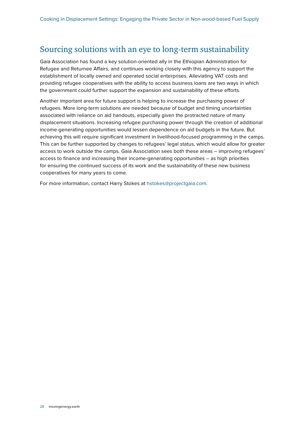### Sourcing solutions with an eye to long-term sustainability

Gaia Association has found a key solution-oriented ally in the Ethiopian Administration for Refugee and Returnee Affairs, and continues working closely with this agency to support the establishment of locally owned and operated social enterprises. Alleviating VAT costs and providing refugee cooperatives with the ability to access business loans are two ways in which the government could further support the expansion and sustainability of these efforts.

Another important area for future support is helping to increase the purchasing power of refugees. More long-term solutions are needed because of budget and timing uncertainties associated with reliance on aid handouts, especially given the protracted nature of many displacement situations. Increasing refugee purchasing power through the creation of additional income-generating opportunities would lessen dependence on aid budgets in the future. But achieving this will require significant investment in livelihood-focused programming in the camps. This can be further supported by changes to refugees' legal status, which would allow for greater access to work outside the camps. Gaia Association sees both these areas – improving refugees' access to finance and increasing their income-generating opportunities – as high priorities for ensuring the continued success of its work and the sustainability of these new business cooperatives for many years to come.

For more information, contact Harry Stokes at [hstokes@projectgaia.com.](mailto:hstokes@projectgaia.com)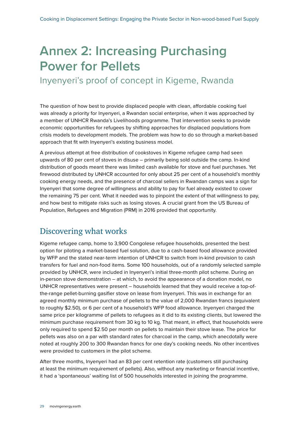## <span id="page-29-0"></span>**Annex 2: Increasing Purchasing Power for Pellets**

Inyenyeri's proof of concept in Kigeme, Rwanda

The question of how best to provide displaced people with clean, affordable cooking fuel was already a priority for Inyenyeri, a Rwandan social enterprise, when it was approached by a member of UNHCR Rwanda's Livelihoods programme. That intervention seeks to provide economic opportunities for refugees by shifting approaches for displaced populations from crisis models to development models. The problem was how to do so through a market-based approach that fit with Inyenyeri's existing business model.

A previous attempt at free distribution of cookstoves in Kigeme refugee camp had seen upwards of 80 per cent of stoves in disuse – primarily being sold outside the camp. In-kind distribution of goods meant there was limited cash available for stove and fuel purchases. Yet firewood distributed by UNHCR accounted for only about 25 per cent of a household's monthly cooking energy needs, and the presence of charcoal sellers in Rwandan camps was a sign for Inyenyeri that some degree of willingness and ability to pay for fuel already existed to cover the remaining 75 per cent. What it needed was to pinpoint the extent of that willingness to pay, and how best to mitigate risks such as losing stoves. A crucial grant from the US Bureau of Population, Refugees and Migration (PRM) in 2016 provided that opportunity.

### Discovering what works

Kigeme refugee camp, home to 3,900 Congolese refugee households, presented the best option for piloting a market-based fuel solution, due to a cash-based food allowance provided by WFP and the stated near-term intention of UNHCR to switch from in-kind provision to cash transfers for fuel and non-food items. Some 100 households, out of a randomly selected sample provided by UNHCR, were included in Inyenyeri's initial three-month pilot scheme. During an in-person stove demonstration – at which, to avoid the appearance of a donation model, no UNHCR representatives were present – households learned that they would receive a top-ofthe-range pellet-burning gasifier stove on lease from Inyenyeri. This was in exchange for an agreed monthly minimum purchase of pellets to the value of 2,000 Rwandan francs (equivalent to roughly \$2.50), or 6 per cent of a household's WFP food allowance. Inyenyeri charged the same price per kilogramme of pellets to refugees as it did to its existing clients, but lowered the minimum purchase requirement from 30 kg to 10 kg. That meant, in effect, that households were only required to spend \$2.50 per month on pellets to maintain their stove lease. The price for pellets was also on a par with standard rates for charcoal in the camp, which anecdotally were noted at roughly 200 to 300 Rwandan francs for one day's cooking needs. No other incentives were provided to customers in the pilot scheme.

After three months, Inyenyeri had an 83 per cent retention rate (customers still purchasing at least the minimum requirement of pellets). Also, without any marketing or financial incentive, it had a 'spontaneous' waiting list of 500 households interested in joining the programme.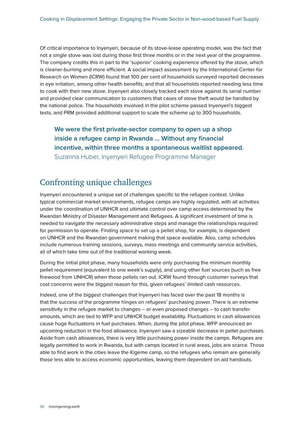Of critical importance to Inyenyeri, because of its stove-lease operating model, was the fact that not a single stove was lost during those first three months or in the next year of the programme. The company credits this in part to the 'superior' cooking experience offered by the stove, which is cleaner-burning and more efficient. A social impact assessment by the International Center for Research on Women (ICRW) found that 100 per cent of households surveyed reported decreases in eye irritation, among other health benefits; and that all households reported needing less time to cook with their new stove. Inyenyeri also closely tracked each stove against its serial number and provided clear communication to customers that cases of stove theft would be handled by the national police. The households involved in the pilot scheme passed Inyenyeri's biggest tests, and PRM provided additional support to scale the scheme up to 300 households.

**We were the first private-sector company to open up a shop inside a refugee camp in Rwanda … Without any financial incentive, within three months a spontaneous waitlist appeared.**  Suzanna Huber, Inyenyeri Refugee Programme Manager

### Confronting unique challenges

Inyenyeri encountered a unique set of challenges specific to the refugee context. Unlike typical commercial market environments, refugee camps are highly regulated, with all activities under the coordination of UNHCR and ultimate control over camp access determined by the Rwandan Ministry of Disaster Management and Refugees. A significant investment of time is needed to navigate the necessary administrative steps and manage the relationships required for permission to operate. Finding space to set up a pellet shop, for example, is dependent on UNHCR and the Rwandan government making that space available. Also, camp schedules include numerous training sessions, surveys, mass meetings and community service activities, all of which take time out of the traditional working week.

During the initial pilot phase, many households were only purchasing the minimum monthly pellet requirement (equivalent to one week's supply), and using other fuel sources (such as free firewood from UNHCR) when those pellets ran out. ICRW found through customer surveys that cost concerns were the biggest reason for this, given refugees' limited cash resources.

Indeed, one of the biggest challenges that Inyenyeri has faced over the past 18 months is that the success of the programme hinges on refugees' purchasing power. There is an extreme sensitivity in the refugee market to changes – or even proposed changes – to cash transfer amounts, which are tied to WFP and UNHCR budget availability. Fluctuations in cash allowances cause huge fluctuations in fuel purchases. When, during the pilot phase, WFP announced an upcoming reduction in the food allowance, Inyenyeri saw a sizeable decrease in pellet purchases. Aside from cash allowances, there is very little purchasing power inside the camps. Refugees are legally permitted to work in Rwanda, but with camps located in rural areas, jobs are scarce. Those able to find work in the cities leave the Kigeme camp, so the refugees who remain are generally those less able to access economic opportunities, leaving them dependent on aid handouts.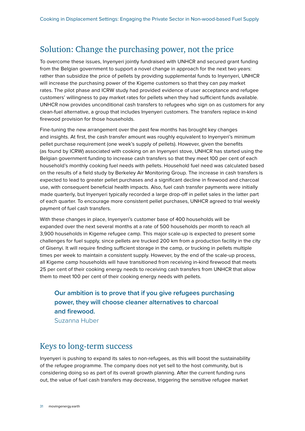### Solution: Change the purchasing power, not the price

To overcome these issues, Inyenyeri jointly fundraised with UNHCR and secured grant funding from the Belgian government to support a novel change in approach for the next two years: rather than subsidize the price of pellets by providing supplemental funds to Inyenyeri, UNHCR will increase the purchasing power of the Kigeme customers so that they can pay market rates. The pilot phase and ICRW study had provided evidence of user acceptance and refugee customers' willingness to pay market rates for pellets when they had sufficient funds available. UNHCR now provides unconditional cash transfers to refugees who sign on as customers for any clean-fuel alternative, a group that includes Inyenyeri customers. The transfers replace in-kind firewood provision for those households.

Fine-tuning the new arrangement over the past few months has brought key changes and insights. At first, the cash transfer amount was roughly equivalent to Inyenyeri's minimum pellet purchase requirement (one week's supply of pellets). However, given the benefits (as found by ICRW) associated with cooking on an Inyenyeri stove, UNHCR has started using the Belgian government funding to increase cash transfers so that they meet 100 per cent of each household's monthly cooking fuel needs with pellets. Household fuel need was calculated based on the results of a field study by Berkeley Air Monitoring Group. The increase in cash transfers is expected to lead to greater pellet purchases and a significant decline in firewood and charcoal use, with consequent beneficial health impacts. Also, fuel cash transfer payments were initially made quarterly, but Inyenyeri typically recorded a large drop-off in pellet sales in the latter part of each quarter. To encourage more consistent pellet purchases, UNHCR agreed to trial weekly payment of fuel cash transfers.

With these changes in place, Inyenyeri's customer base of 400 households will be expanded over the next several months at a rate of 500 households per month to reach all 3,900 households in Kigeme refugee camp. This major scale-up is expected to present some challenges for fuel supply, since pellets are trucked 200 km from a production facility in the city of Gisenyi. It will require finding sufficient storage in the camp, or trucking in pellets multiple times per week to maintain a consistent supply. However, by the end of the scale-up process, all Kigeme camp households will have transitioned from receiving in-kind firewood that meets 25 per cent of their cooking energy needs to receiving cash transfers from UNHCR that allow them to meet 100 per cent of their cooking energy needs with pellets.

#### **Our ambition is to prove that if you give refugees purchasing power, they will choose cleaner alternatives to charcoal and firewood.**  Suzanna Huber

### Keys to long-term success

Inyenyeri is pushing to expand its sales to non-refugees, as this will boost the sustainability of the refugee programme. The company does not yet sell to the host community, but is considering doing so as part of its overall growth planning. After the current funding runs out, the value of fuel cash transfers may decrease, triggering the sensitive refugee market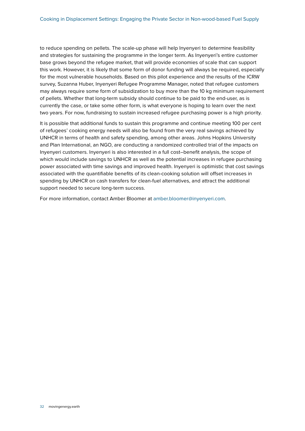to reduce spending on pellets. The scale-up phase will help Inyenyeri to determine feasibility and strategies for sustaining the programme in the longer term. As Inyenyeri's entire customer base grows beyond the refugee market, that will provide economies of scale that can support this work. However, it is likely that some form of donor funding will always be required, especially for the most vulnerable households. Based on this pilot experience and the results of the ICRW survey, Suzanna Huber, Inyenyeri Refugee Programme Manager, noted that refugee customers may always require some form of subsidization to buy more than the 10 kg minimum requirement of pellets. Whether that long-term subsidy should continue to be paid to the end-user, as is currently the case, or take some other form, is what everyone is hoping to learn over the next two years. For now, fundraising to sustain increased refugee purchasing power is a high priority.

It is possible that additional funds to sustain this programme and continue meeting 100 per cent of refugees' cooking energy needs will also be found from the very real savings achieved by UNHCR in terms of health and safety spending, among other areas. Johns Hopkins University and Plan International, an NGO, are conducting a randomized controlled trial of the impacts on Inyenyeri customers. Inyenyeri is also interested in a full cost–benefit analysis, the scope of which would include savings to UNHCR as well as the potential increases in refugee purchasing power associated with time savings and improved health. Inyenyeri is optimistic that cost savings associated with the quantifiable benefits of its clean-cooking solution will offset increases in spending by UNHCR on cash transfers for clean-fuel alternatives, and attract the additional support needed to secure long-term success.

For more information, contact Amber Bloomer at [amber.bloomer@inyenyeri.com.](mailto:amber.bloomer@inyenyeri.com)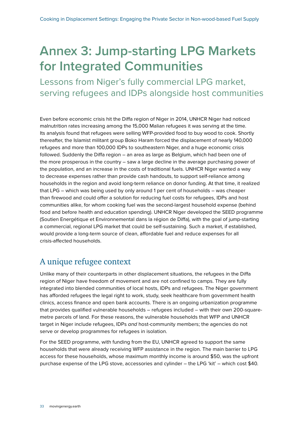### <span id="page-33-0"></span>**Annex 3: Jump-starting LPG Markets for Integrated Communities**

Lessons from Niger's fully commercial LPG market, serving refugees and IDPs alongside host communities

Even before economic crisis hit the Diffa region of Niger in 2014, UNHCR Niger had noticed malnutrition rates increasing among the 15,000 Malian refugees it was serving at the time. Its analysis found that refugees were selling WFP-provided food to buy wood to cook. Shortly thereafter, the Islamist militant group Boko Haram forced the displacement of nearly 140,000 refugees and more than 100,000 IDPs to southeastern Niger, and a huge economic crisis followed. Suddenly the Diffa region – an area as large as Belgium, which had been one of the more prosperous in the country – saw a large decline in the average purchasing power of the population, and an increase in the costs of traditional fuels. UNHCR Niger wanted a way to decrease expenses rather than provide cash handouts, to support self-reliance among households in the region and avoid long-term reliance on donor funding. At that time, it realized that LPG – which was being used by only around 1 per cent of households – was cheaper than firewood and could offer a solution for reducing fuel costs for refugees, IDPs and host communities alike, for whom cooking fuel was the second-largest household expense (behind food and before health and education spending). UNHCR Niger developed the SEED programme (Soutien Energétique et Environnemental dans la région de Diffa), with the goal of jump-starting a commercial, regional LPG market that could be self-sustaining. Such a market, if established, would provide a long-term source of clean, affordable fuel and reduce expenses for all crisis-affected households.

### A unique refugee context

Unlike many of their counterparts in other displacement situations, the refugees in the Diffa region of Niger have freedom of movement and are not confined to camps. They are fully integrated into blended communities of local hosts, IDPs and refugees. The Niger government has afforded refugees the legal right to work, study, seek healthcare from government health clinics, access finance and open bank accounts. There is an ongoing urbanization programme that provides qualified vulnerable households – refugees included – with their own 200-squaremetre parcels of land. For these reasons, the vulnerable households that WFP and UNHCR target in Niger include refugees, IDPs *and* host-community members; the agencies do not serve or develop programmes for refugees in isolation.

For the SEED programme, with funding from the EU, UNHCR agreed to support the same households that were already receiving WFP assistance in the region. The main barrier to LPG access for these households, whose maximum monthly income is around \$50, was the upfront purchase expense of the LPG stove, accessories and cylinder – the LPG 'kit' – which cost \$40.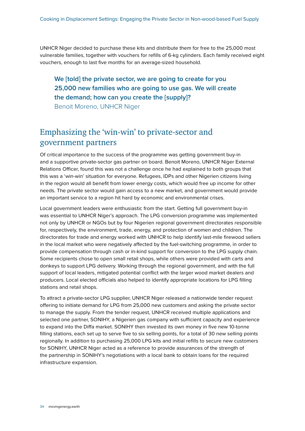UNHCR Niger decided to purchase these kits and distribute them for free to the 25,000 most vulnerable families, together with vouchers for refills of 6-kg cylinders. Each family received eight vouchers, enough to last five months for an average-sized household.

#### **We [told] the private sector, we are going to create for you 25,000 new families who are going to use gas. We will create the demand; how can you create the [supply]?**  Benoit Moreno, UNHCR Niger

### Emphasizing the 'win-win' to private-sector and government partners

Of critical importance to the success of the programme was getting government buy-in and a supportive private-sector gas partner on board. Benoit Moreno, UNHCR Niger External Relations Officer, found this was not a challenge once he had explained to both groups that this was a 'win-win' situation for everyone. Refugees, IDPs and other Nigerien citizens living in the region would all benefit from lower energy costs, which would free up income for other needs. The private sector would gain access to a new market, and government would provide an important service to a region hit hard by economic and environmental crises.

Local government leaders were enthusiastic from the start. Getting full government buy-in was essential to UNHCR Niger's approach. The LPG conversion programme was implemented not only by UNHCR or NGOs but by four Nigerien regional government directorates responsible for, respectively, the environment, trade, energy, and protection of women and children. The directorates for trade and energy worked with UNHCR to help identify last-mile firewood sellers in the local market who were negatively affected by the fuel-switching programme, in order to provide compensation through cash or in-kind support for conversion to the LPG supply chain. Some recipients chose to open small retail shops, while others were provided with carts and donkeys to support LPG delivery. Working through the regional government, and with the full support of local leaders, mitigated potential conflict with the larger wood market dealers and producers. Local elected officials also helped to identify appropriate locations for LPG filling stations and retail shops.

To attract a private-sector LPG supplier, UNHCR Niger released a nationwide tender request offering to initiate demand for LPG from 25,000 new customers and asking the private sector to manage the supply. From the tender request, UNHCR received multiple applications and selected one partner, SONIHY, a Nigerien gas company with sufficient capacity and experience to expand into the Diffa market. SONIHY then invested its own money in five new 10-tonne filling stations, each set up to serve five to six selling points, for a total of 30 new selling points regionally. In addition to purchasing 25,000 LPG kits and initial refills to secure new customers for SONIHY, UNHCR Niger acted as a reference to provide assurances of the strength of the partnership in SONIHY's negotiations with a local bank to obtain loans for the required infrastructure expansion.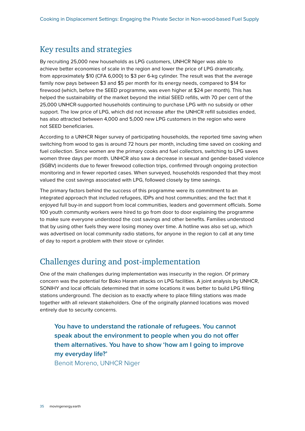#### Key results and strategies

By recruiting 25,000 new households as LPG customers, UNHCR Niger was able to achieve better economies of scale in the region and lower the price of LPG dramatically, from approximately \$10 (CFA 6,000) to \$3 per 6-kg cylinder. The result was that the average family now pays between \$3 and \$5 per month for its energy needs, compared to \$14 for firewood (which, before the SEED programme, was even higher at \$24 per month). This has helped the sustainability of the market beyond the initial SEED refills, with 70 per cent of the 25,000 UNHCR-supported households continuing to purchase LPG with no subsidy or other support. The low price of LPG, which did not increase after the UNHCR refill subsidies ended, has also attracted between 4,000 and 5,000 new LPG customers in the region who were not SEED beneficiaries.

According to a UNHCR Niger survey of participating households, the reported time saving when switching from wood to gas is around 72 hours per month, including time saved on cooking and fuel collection. Since women are the primary cooks and fuel collectors, switching to LPG saves women three days per month. UNHCR also saw a decrease in sexual and gender-based violence (SGBV) incidents due to fewer firewood collection trips, confirmed through ongoing protection monitoring and in fewer reported cases. When surveyed, households responded that they most valued the cost savings associated with LPG, followed closely by time savings.

The primary factors behind the success of this programme were its commitment to an integrated approach that included refugees, IDPs and host communities; and the fact that it enjoyed full buy-in and support from local communities, leaders and government officials. Some 100 youth community workers were hired to go from door to door explaining the programme to make sure everyone understood the cost savings and other benefits. Families understood that by using other fuels they were losing money over time. A hotline was also set up, which was advertised on local community radio stations, for anyone in the region to call at any time of day to report a problem with their stove or cylinder.

### Challenges during and post-implementation

One of the main challenges during implementation was insecurity in the region. Of primary concern was the potential for Boko Haram attacks on LPG facilities. A joint analysis by UNHCR, SONIHY and local officials determined that in some locations it was better to build LPG filling stations underground. The decision as to exactly where to place filling stations was made together with all relevant stakeholders. One of the originally planned locations was moved entirely due to security concerns.

**You have to understand the rationale of refugees. You cannot speak about the environment to people when you do not offer them alternatives. You have to show 'how am I going to improve my everyday life?'** 

Benoit Moreno, UNHCR Niger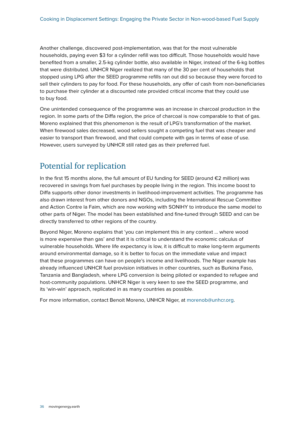Another challenge, discovered post-implementation, was that for the most vulnerable households, paying even \$3 for a cylinder refill was too difficult. Those households would have benefited from a smaller, 2.5-kg cylinder bottle, also available in Niger, instead of the 6-kg bottles that were distributed. UNHCR Niger realized that many of the 30 per cent of households that stopped using LPG after the SEED programme refills ran out did so because they were forced to sell their cylinders to pay for food. For these households, any offer of cash from non-beneficiaries to purchase their cylinder at a discounted rate provided critical income that they could use to buy food.

One unintended consequence of the programme was an increase in charcoal production in the region. In some parts of the Diffa region, the price of charcoal is now comparable to that of gas. Moreno explained that this phenomenon is the result of LPG's transformation of the market. When firewood sales decreased, wood sellers sought a competing fuel that was cheaper and easier to transport than firewood, and that could compete with gas in terms of ease of use. However, users surveyed by UNHCR still rated gas as their preferred fuel.

### Potential for replication

In the first 15 months alone, the full amount of EU funding for SEED (around €2 million) was recovered in savings from fuel purchases by people living in the region. This income boost to Diffa supports other donor investments in livelihood-improvement activities. The programme has also drawn interest from other donors and NGOs, including the International Rescue Committee and Action Contre la Faim, which are now working with SONIHY to introduce the same model to other parts of Niger. The model has been established and fine-tuned through SEED and can be directly transferred to other regions of the country.

Beyond Niger, Moreno explains that 'you can implement this in any context … where wood is more expensive than gas' and that it is critical to understand the economic calculus of vulnerable households. Where life expectancy is low, it is difficult to make long-term arguments around environmental damage, so it is better to focus on the immediate value and impact that these programmes can have on people's income and livelihoods. The Niger example has already influenced UNHCR fuel provision initiatives in other countries, such as Burkina Faso, Tanzania and Bangladesh, where LPG conversion is being piloted or expanded to refugee and host-community populations. UNHCR Niger is very keen to see the SEED programme, and its 'win-win' approach, replicated in as many countries as possible.

For more information, contact Benoit Moreno, UNHCR Niger, at [morenob@unhcr.org](mailto:morenob@unhcr.org).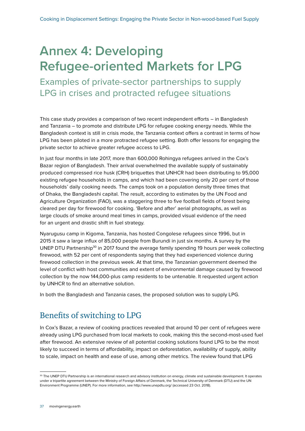### <span id="page-37-0"></span>**Annex 4: Developing Refugee-oriented Markets for LPG**

Examples of private-sector partnerships to supply LPG in crises and protracted refugee situations

This case study provides a comparison of two recent independent efforts – in Bangladesh and Tanzania – to promote and distribute LPG for refugee cooking energy needs. While the Bangladesh context is still in crisis mode, the Tanzania context offers a contrast in terms of how LPG has been piloted in a more protracted refugee setting. Both offer lessons for engaging the private sector to achieve greater refugee access to LPG.

In just four months in late 2017, more than 600,000 Rohingya refugees arrived in the Cox's Bazar region of Bangladesh. Their arrival overwhelmed the available supply of sustainably produced compressed rice husk (CRH) briquettes that UNHCR had been distributing to 95,000 existing refugee households in camps, and which had been covering only 20 per cent of those households' daily cooking needs. The camps took on a population density three times that of Dhaka, the Bangladeshi capital. The result, according to estimates by the UN Food and Agriculture Organization (FAO), was a staggering three to five football fields of forest being cleared per day for firewood for cooking. 'Before and after' aerial photographs, as well as large clouds of smoke around meal times in camps, provided visual evidence of the need for an urgent and drastic shift in fuel strategy.

Nyarugusu camp in Kigoma, Tanzania, has hosted Congolese refugees since 1996, but in 2015 it saw a large influx of 85,000 people from Burundi in just six months. A survey by the UNEP DTU Partnership<sup>30</sup> in 2017 found the average family spending 19 hours per week collecting firewood, with 52 per cent of respondents saying that they had experienced violence during firewood collection in the previous week. At that time, the Tanzanian government deemed the level of conflict with host communities and extent of environmental damage caused by firewood collection by the now 144,000-plus camp residents to be untenable. It requested urgent action by UNHCR to find an alternative solution.

In both the Bangladesh and Tanzania cases, the proposed solution was to supply LPG.

### Benefits of switching to LPG

In Cox's Bazar, a review of cooking practices revealed that around 10 per cent of refugees were already using LPG purchased from local markets to cook, making this the second-most-used fuel after firewood. An extensive review of all potential cooking solutions found LPG to be the most likely to succeed in terms of affordability, impact on deforestation, availability of supply, ability to scale, impact on health and ease of use, among other metrics. The review found that LPG

<sup>30</sup> The UNEP DTU Partnership is an international research and advisory institution on energy, climate and sustainable development. It operates under a tripartite agreement between the Ministry of Foreign Affairs of Denmark, the Technical University of Denmark (DTU) and the UN Environment Programme (UNEP). For more information, see<http://www.unepdtu.org/> (accessed 23 Oct. 2018).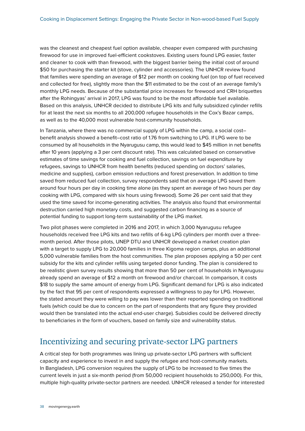was the cleanest and cheapest fuel option available, cheaper even compared with purchasing firewood for use in improved fuel-efficient cookstoves. Existing users found LPG easier, faster and cleaner to cook with than firewood, with the biggest barrier being the initial cost of around \$50 for purchasing the starter kit (stove, cylinder and accessories). The UNHCR review found that families were spending an average of \$12 per month on cooking fuel (on top of fuel received and collected for free), slightly more than the \$11 estimated to be the cost of an average family's monthly LPG needs. Because of the substantial price increases for firewood and CRH briquettes after the Rohingyas' arrival in 2017, LPG was found to be the most affordable fuel available. Based on this analysis, UNHCR decided to distribute LPG kits and fully subsidized cylinder refills for at least the next six months to all 200,000 refugee households in the Cox's Bazar camps, as well as to the 40,000 most vulnerable host-community households.

In Tanzania, where there was no commercial supply of LPG within the camp, a social cost– benefit analysis showed a benefit–cost ratio of 1.76 from switching to LPG. If LPG were to be consumed by all households in the Nyarugusu camp, this would lead to \$45 million in net benefits after 10 years (applying a 3 per cent discount rate). This was calculated based on conservative estimates of time savings for cooking and fuel collection, savings on fuel expenditure by refugees, savings to UNHCR from health benefits (reduced spending on doctors' salaries, medicine and supplies), carbon emission reductions and forest preservation. In addition to time saved from reduced fuel collection, survey respondents said that on average LPG saved them around four hours per day in cooking time alone (as they spent an average of two hours per day cooking with LPG, compared with six hours using firewood). Some 26 per cent said that they used the time saved for income-generating activities. The analysis also found that environmental destruction carried high monetary costs, and suggested carbon financing as a source of potential funding to support long-term sustainability of the LPG market.

Two pilot phases were completed in 2016 and 2017, in which 3,000 Nyarugusu refugee households received free LPG kits and two refills of 6-kg LPG cylinders per month over a threemonth period. After those pilots, UNEP DTU and UNHCR developed a market creation plan with a target to supply LPG to 20,000 families in three Kigoma region camps, plus an additional 5,000 vulnerable families from the host communities. The plan proposes applying a 50 per cent subsidy for the kits and cylinder refills using targeted donor funding. The plan is considered to be realistic given survey results showing that more than 50 per cent of households in Nyarugusu already spend an average of \$12 a month on firewood and/or charcoal. In comparison, it costs \$18 to supply the same amount of energy from LPG. Significant demand for LPG is also indicated by the fact that 95 per cent of respondents expressed a willingness to pay for LPG. However, the stated amount they were willing to pay was lower than their reported spending on traditional fuels (which could be due to concern on the part of respondents that any figure they provided would then be translated into the actual end-user charge). Subsidies could be delivered directly to beneficiaries in the form of vouchers, based on family size and vulnerability status.

### Incentivizing and securing private-sector LPG partners

A critical step for both programmes was lining up private-sector LPG partners with sufficient capacity and experience to invest in and supply the refugee and host-community markets. In Bangladesh, LPG conversion requires the supply of LPG to be increased to five times the current levels in just a six-month period (from 50,000 recipient households to 250,000). For this, multiple high-quality private-sector partners are needed. UNHCR released a tender for interested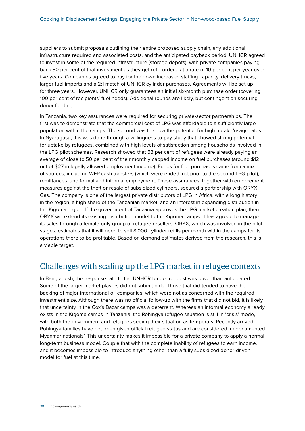suppliers to submit proposals outlining their entire proposed supply chain, any additional infrastructure required and associated costs, and the anticipated payback period. UNHCR agreed to invest in some of the required infrastructure (storage depots), with private companies paying back 50 per cent of that investment as they get refill orders, at a rate of 10 per cent per year over five years. Companies agreed to pay for their own increased staffing capacity, delivery trucks, larger fuel imports and a 2:1 match of UNHCR cylinder purchases. Agreements will be set up for three years. However, UNHCR only guarantees an initial six-month purchase order (covering 100 per cent of recipients' fuel needs). Additional rounds are likely, but contingent on securing donor funding.

In Tanzania, two key assurances were required for securing private-sector partnerships. The first was to demonstrate that the commercial cost of LPG was affordable to a sufficiently large population within the camps. The second was to show the potential for high uptake/usage rates. In Nyarugusu, this was done through a willingness-to-pay study that showed strong potential for uptake by refugees, combined with high levels of satisfaction among households involved in the LPG pilot schemes. Research showed that 53 per cent of refugees were already paying an average of close to 50 per cent of their monthly capped income on fuel purchases (around \$12 out of \$27 in legally allowed employment income). Funds for fuel purchases came from a mix of sources, including WFP cash transfers (which were ended just prior to the second LPG pilot), remittances, and formal and informal employment. These assurances, together with enforcement measures against the theft or resale of subsidized cylinders, secured a partnership with ORYX Gas. The company is one of the largest private distributors of LPG in Africa, with a long history in the region, a high share of the Tanzanian market, and an interest in expanding distribution in the Kigoma region. If the government of Tanzania approves the LPG market creation plan, then ORYX will extend its existing distribution model to the Kigoma camps. It has agreed to manage its sales through a female-only group of refugee resellers. ORYX, which was involved in the pilot stages, estimates that it will need to sell 8,000 cylinder refills per month within the camps for its operations there to be profitable. Based on demand estimates derived from the research, this is a viable target.

#### Challenges with scaling up the LPG market in refugee contexts

In Bangladesh, the response rate to the UNHCR tender request was lower than anticipated. Some of the larger market players did not submit bids. Those that did tended to have the backing of major international oil companies, which were not as concerned with the required investment size. Although there was no official follow-up with the firms that did not bid, it is likely that uncertainty in the Cox's Bazar camps was a deterrent. Whereas an informal economy already exists in the Kigoma camps in Tanzania, the Rohingya refugee situation is still in 'crisis' mode, with both the government and refugees seeing their situation as temporary. Recently arrived Rohingya families have not been given official refugee status and are considered 'undocumented Myanmar nationals'. This uncertainty makes it impossible for a private company to apply a normal long-term business model. Couple that with the complete inability of refugees to earn income, and it becomes impossible to introduce anything other than a fully subsidized donor-driven model for fuel at this time.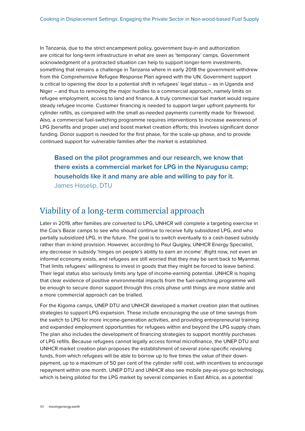In Tanzania, due to the strict encampment policy, government buy-in and authorization are critical for long-term infrastructure in what are seen as 'temporary' camps. Government acknowledgment of a protracted situation can help to support longer-term investments, something that remains a challenge in Tanzania where in early 2018 the government withdrew from the Comprehensive Refugee Response Plan agreed with the UN. Government support is critical to opening the door to a potential shift in refugees' legal status – as in Uganda and Niger – and thus to removing the major hurdles to a commercial approach, namely limits on refugee employment, access to land and finance. A truly commercial fuel market would require steady refugee income. Customer financing is needed to support larger upfront payments for cylinder refills, as compared with the small as-needed payments currently made for firewood. Also, a commercial fuel-switching programme requires interventions to increase awareness of LPG (benefits and proper use) and boost market creation efforts; this involves significant donor funding. Donor support is needed for the first phase, for the scale-up phase, and to provide continued support for vulnerable families after the market is established.

**Based on the pilot programmes and our research, we know that there exists a commercial market for LPG in the Nyarugusu camp; households like it and many are able and willing to pay for it.**  James Haselip, DTU

### Viability of a long-term commercial approach

Later in 2019, after families are converted to LPG, UNHCR will complete a targeting exercise in the Cox's Bazar camps to see who should continue to receive fully subsidized LPG, and who partially subsidized LPG, in the future. The goal is to switch eventually to a cash-based subsidy rather than in-kind provision. However, according to Paul Quigley, UNHCR Energy Specialist, any decrease in subsidy 'hinges on people's ability to earn an income'. Right now, not even an informal economy exists, and refugees are still worried that they may be sent back to Myanmar. That limits refugees' willingness to invest in goods that they might be forced to leave behind. Their legal status also seriously limits any type of income-earning potential. UNHCR is hoping that clear evidence of positive environmental impacts from the fuel-switching programme will be enough to secure donor support through this crisis phase until things are more stable and a more commercial approach can be trialled.

For the Kigoma camps, UNEP DTU and UNHCR developed a market creation plan that outlines strategies to support LPG expansion. These include encouraging the use of time savings from the switch to LPG for more income-generation activities, and providing entrepreneurial training and expanded employment opportunities for refugees within and beyond the LPG supply chain. The plan also includes the development of financing strategies to support monthly purchases of LPG refills. Because refugees cannot legally access formal microfinance, the UNEP DTU and UNHCR market creation plan proposes the establishment of several zone-specific revolving funds, from which refugees will be able to borrow up to five times the value of their downpayment, up to a maximum of 50 per cent of the cylinder refill cost, with incentives to encourage repayment within one month. UNEP DTU and UNHCR also see mobile pay-as-you-go technology, which is being piloted for the LPG market by several companies in East Africa, as a potential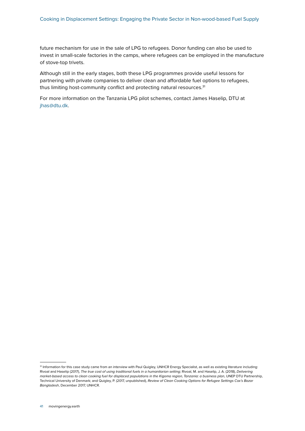future mechanism for use in the sale of LPG to refugees. Donor funding can also be used to invest in small-scale factories in the camps, where refugees can be employed in the manufacture of stove-top trivets.

Although still in the early stages, both these LPG programmes provide useful lessons for partnering with private companies to deliver clean and affordable fuel options to refugees, thus limiting host-community conflict and protecting natural resources.<sup>31</sup>

For more information on the Tanzania LPG pilot schemes, contact James Haselip, DTU at [jhas@dtu.dk.](mailto:jhas@dtu.dk)

<sup>&</sup>lt;sup>31</sup> Information for this case study came from an interview with Paul Quigley, UNHCR Energy Specialist, as well as existing literature including: Rivoal and Haselip (2017), *The true cost of using traditional fuels in a humanitarian setting*; Rivoal, M. and Haselip, J. A. (2018), *Delivering market-based access to clean cooking fuel for displaced populations in the Kigoma region, Tanzania: a business plan*, UNEP DTU Partnership, Technical University of Denmark; and Quigley, P. (2017, unpublished), *Review of Clean Cooking Options for Refugee Settings Cox's Bazar Bangladesh*, December 2017, UNHCR.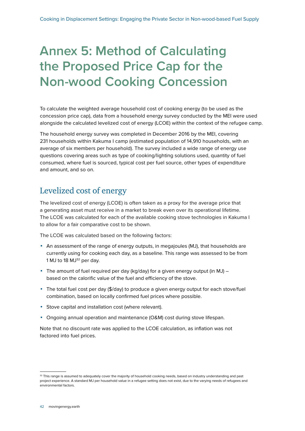### <span id="page-42-0"></span>**Annex 5: Method of Calculating the Proposed Price Cap for the Non-wood Cooking Concession**

To calculate the weighted average household cost of cooking energy (to be used as the concession price cap), data from a household energy survey conducted by the MEI were used alongside the calculated levelized cost of energy (LCOE) within the context of the refugee camp.

The household energy survey was completed in December 2016 by the MEI, covering 231 households within Kakuma I camp (estimated population of 14,910 households, with an average of six members per household). The survey included a wide range of energy use questions covering areas such as type of cooking/lighting solutions used, quantity of fuel consumed, where fuel is sourced, typical cost per fuel source, other types of expenditure and amount, and so on.

### Levelized cost of energy

The levelized cost of energy (LCOE) is often taken as a proxy for the average price that a generating asset must receive in a market to break even over its operational lifetime. The LCOE was calculated for each of the available cooking stove technologies in Kakuma I to allow for a fair comparative cost to be shown.

The LCOE was calculated based on the following factors:

- **•** An assessment of the range of energy outputs, in megajoules (MJ), that households are currently using for cooking each day, as a baseline. This range was assessed to be from 1 MJ to 18  $MJ<sup>32</sup>$  per day.
- **•** The amount of fuel required per day (kg/day) for a given energy output (in MJ) based on the calorific value of the fuel and efficiency of the stove.
- **•** The total fuel cost per day (\$/day) to produce a given energy output for each stove/fuel combination, based on locally confirmed fuel prices where possible.
- **•** Stove capital and installation cost (where relevant).
- **•** Ongoing annual operation and maintenance (O&M) cost during stove lifespan.

Note that no discount rate was applied to the LCOE calculation, as inflation was not factored into fuel prices.

<sup>32</sup> This range is assumed to adequately cover the majority of household cooking needs, based on industry understanding and past project experience. A standard MJ per household value in a refugee setting does not exist, due to the varying needs of refugees and environmental factors.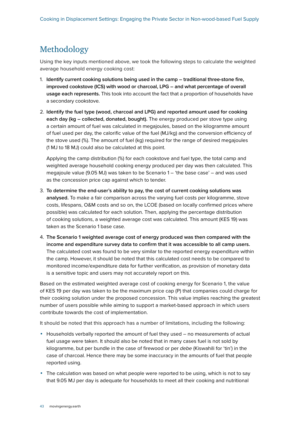### Methodology

Using the key inputs mentioned above, we took the following steps to calculate the weighted average household energy cooking cost:

- 1. **Identify current cooking solutions being used in the camp traditional three-stone fire, improved cookstove (ICS) with wood or charcoal, LPG – and what percentage of overall usage each represents.** This took into account the fact that a proportion of households have a secondary cookstove.
- 2. **Identify the fuel type (wood, charcoal and LPG) and reported amount used for cooking each day (kg – collected, donated, bought).** The energy produced per stove type using a certain amount of fuel was calculated in megajoules, based on the kilogramme amount of fuel used per day, the calorific value of the fuel (MJ/kg) and the conversion efficiency of the stove used (%). The amount of fuel (kg) required for the range of desired megajoules (1 MJ to 18 MJ) could also be calculated at this point.

Applying the camp distribution (%) for each cookstove and fuel type, the total camp and weighted average household cooking energy produced per day was then calculated. This megajoule value (9.05 MJ) was taken to be Scenario 1 – 'the base case' – and was used as the concession price cap against which to tender.

- 3. **To determine the end-user's ability to pay, the cost of current cooking solutions was analysed.** To make a fair comparison across the varying fuel costs per kilogramme, stove costs, lifespans, O&M costs and so on, the LCOE (based on locally confirmed prices where possible) was calculated for each solution. Then, applying the percentage distribution of cooking solutions, a weighted average cost was calculated. This amount (KES 19) was taken as the Scenario 1 base case.
- 4. **The Scenario 1 weighted average cost of energy produced was then compared with the income and expenditure survey data to confirm that it was accessible to all camp users.**  The calculated cost was found to be very similar to the reported energy expenditure within the camp. However, it should be noted that this calculated cost needs to be compared to monitored income/expenditure data for further verification, as provision of monetary data is a sensitive topic and users may not accurately report on this.

Based on the estimated weighted average cost of cooking energy for Scenario 1, the value of KES 19 per day was taken to be the maximum price cap (P) that companies could charge for their cooking solution under the proposed concession. This value implies reaching the greatest number of users possible while aiming to support a market-based approach in which users contribute towards the cost of implementation.

It should be noted that this approach has a number of limitations, including the following:

- **•** Households verbally reported the amount of fuel they used no measurements of actual fuel usage were taken. It should also be noted that in many cases fuel is not sold by kilogramme, but per bundle in the case of firewood or per *debe* (Kiswahili for 'tin') in the case of charcoal. Hence there may be some inaccuracy in the amounts of fuel that people reported using.
- **•** The calculation was based on what people were reported to be using, which is not to say that 9.05 MJ per day is adequate for households to meet all their cooking and nutritional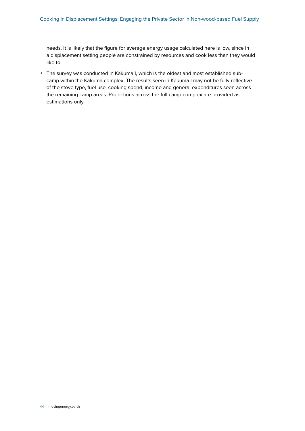needs. It is likely that the figure for average energy usage calculated here is low, since in a displacement setting people are constrained by resources and cook less than they would like to.

**•** The survey was conducted in Kakuma I, which is the oldest and most established subcamp within the Kakuma complex. The results seen in Kakuma I may not be fully reflective of the stove type, fuel use, cooking spend, income and general expenditures seen across the remaining camp areas. Projections across the full camp complex are provided as estimations only.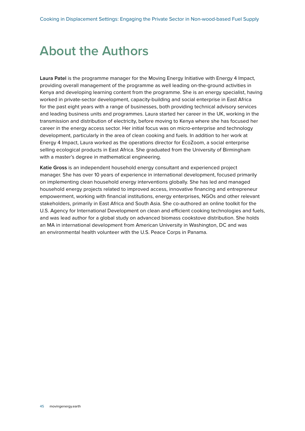### <span id="page-45-0"></span>**About the Authors**

**Laura Patel** is the programme manager for the Moving Energy Initiative with Energy 4 Impact, providing overall management of the programme as well leading on-the-ground activities in Kenya and developing learning content from the programme. She is an energy specialist, having worked in private-sector development, capacity-building and social enterprise in East Africa for the past eight years with a range of businesses, both providing technical advisory services and leading business units and programmes. Laura started her career in the UK, working in the transmission and distribution of electricity, before moving to Kenya where she has focused her career in the energy access sector. Her initial focus was on micro-enterprise and technology development, particularly in the area of clean cooking and fuels. In addition to her work at Energy 4 Impact, Laura worked as the operations director for EcoZoom, a social enterprise selling ecological products in East Africa. She graduated from the University of Birmingham with a master's degree in mathematical engineering.

**Katie Gross** is an independent household energy consultant and experienced project manager. She has over 10 years of experience in international development, focused primarily on implementing clean household energy interventions globally. She has led and managed household energy projects related to improved access, innovative financing and entrepreneur empowerment, working with financial institutions, energy enterprises, NGOs and other relevant stakeholders, primarily in East Africa and South Asia. She co-authored an online toolkit for the U.S. Agency for International Development on clean and efficient cooking technologies and fuels, and was lead author for a global study on advanced biomass cookstove distribution. She holds an MA in international development from American University in Washington, DC and was an environmental health volunteer with the U.S. Peace Corps in Panama.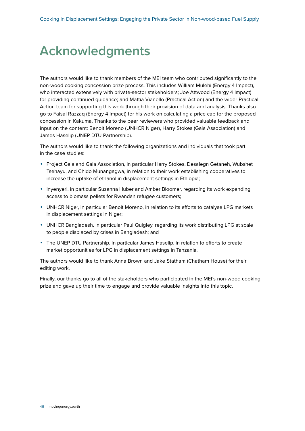### <span id="page-46-0"></span>**Acknowledgments**

The authors would like to thank members of the MEI team who contributed significantly to the non-wood cooking concession prize process. This includes William Mulehi (Energy 4 Impact), who interacted extensively with private-sector stakeholders; Joe Attwood (Energy 4 Impact) for providing continued guidance; and Mattia Vianello (Practical Action) and the wider Practical Action team for supporting this work through their provision of data and analysis. Thanks also go to Faisal Razzaq (Energy 4 Impact) for his work on calculating a price cap for the proposed concession in Kakuma. Thanks to the peer reviewers who provided valuable feedback and input on the content: Benoit Moreno (UNHCR Niger), Harry Stokes (Gaia Association) and James Haselip (UNEP DTU Partnership).

The authors would like to thank the following organizations and individuals that took part in the case studies:

- **•** Project Gaia and Gaia Association, in particular Harry Stokes, Desalegn Getaneh, Wubshet Tsehayu, and Chido Munangagwa, in relation to their work establishing cooperatives to increase the uptake of ethanol in displacement settings in Ethiopia;
- **•** Inyenyeri, in particular Suzanna Huber and Amber Bloomer, regarding its work expanding access to biomass pellets for Rwandan refugee customers;
- **•** UNHCR Niger, in particular Benoit Moreno, in relation to its efforts to catalyse LPG markets in displacement settings in Niger;
- **•** UNHCR Bangladesh, in particular Paul Quigley, regarding its work distributing LPG at scale to people displaced by crises in Bangladesh; and
- **•** The UNEP DTU Partnership, in particular James Haselip, in relation to efforts to create market opportunities for LPG in displacement settings in Tanzania.

The authors would like to thank Anna Brown and Jake Statham (Chatham House) for their editing work.

Finally, our thanks go to all of the stakeholders who participated in the MEI's non-wood cooking prize and gave up their time to engage and provide valuable insights into this topic.